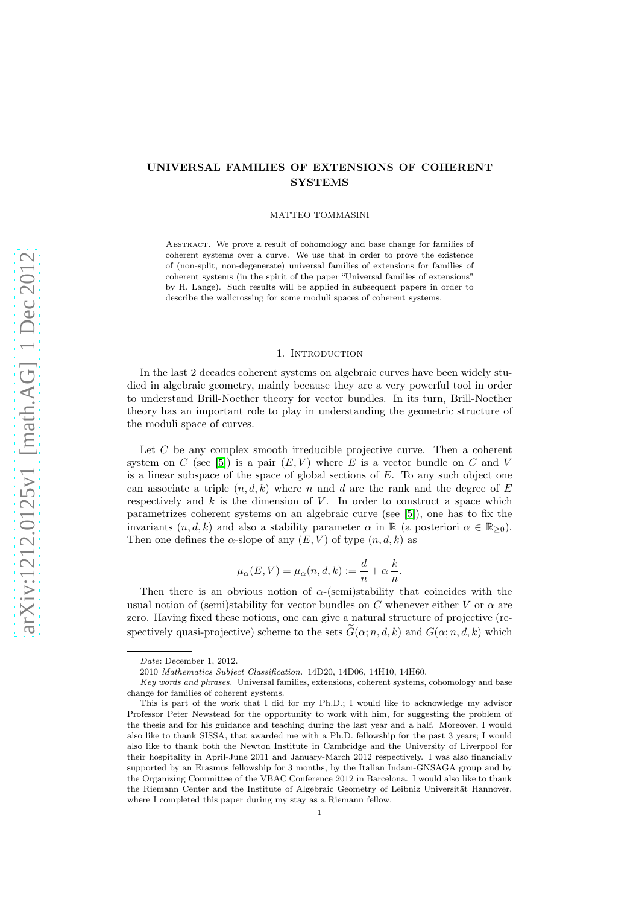# UNIVERSAL FAMILIES OF EXTENSIONS OF COHERENT **SYSTEMS**

MATTEO TOMMASINI

Abstract. We prove a result of cohomology and base change for families of coherent systems over a curve. We use that in order to prove the existence of (non-split, non-degenerate) universal families of extensions for families of coherent systems (in the spirit of the paper "Universal families of extensions" by H. Lange). Such results will be applied in subsequent papers in order to describe the wallcrossing for some moduli spaces of coherent systems.

## 1. INTRODUCTION

In the last 2 decades coherent systems on algebraic curves have been widely studied in algebraic geometry, mainly because they are a very powerful tool in order to understand Brill-Noether theory for vector bundles. In its turn, Brill-Noether theory has an important role to play in understanding the geometric structure of the moduli space of curves.

Let C be any complex smooth irreducible projective curve. Then a coherent system on C (see [\[5\]](#page-28-0)) is a pair  $(E, V)$  where E is a vector bundle on C and V is a linear subspace of the space of global sections of  $E$ . To any such object one can associate a triple  $(n, d, k)$  where n and d are the rank and the degree of E respectively and  $k$  is the dimension of  $V$ . In order to construct a space which parametrizes coherent systems on an algebraic curve (see [\[5\]](#page-28-0)), one has to fix the invariants  $(n, d, k)$  and also a stability parameter  $\alpha$  in  $\mathbb R$  (a posteriori  $\alpha \in \mathbb R_{\geq 0}$ ). Then one defines the  $\alpha$ -slope of any  $(E, V)$  of type  $(n, d, k)$  as

$$
\mu_{\alpha}(E, V) = \mu_{\alpha}(n, d, k) := \frac{d}{n} + \alpha \frac{k}{n}.
$$

Then there is an obvious notion of  $\alpha$ -(semi)stability that coincides with the usual notion of (semi)stability for vector bundles on C whenever either V or  $\alpha$  are zero. Having fixed these notions, one can give a natural structure of projective (respectively quasi-projective) scheme to the sets  $\tilde{G}(\alpha; n, d, k)$  and  $G(\alpha; n, d, k)$  which

Date: December 1, 2012.

<sup>2010</sup> Mathematics Subject Classification. 14D20, 14D06, 14H10, 14H60.

Key words and phrases. Universal families, extensions, coherent systems, cohomology and base change for families of coherent systems.

This is part of the work that I did for my Ph.D.; I would like to acknowledge my advisor Professor Peter Newstead for the opportunity to work with him, for suggesting the problem of the thesis and for his guidance and teaching during the last year and a half. Moreover, I would also like to thank SISSA, that awarded me with a Ph.D. fellowship for the past 3 years; I would also like to thank both the Newton Institute in Cambridge and the University of Liverpool for their hospitality in April-June 2011 and January-March 2012 respectively. I was also financially supported by an Erasmus fellowship for 3 months, by the Italian Indam-GNSAGA group and by the Organizing Committee of the VBAC Conference 2012 in Barcelona. I would also like to thank the Riemann Center and the Institute of Algebraic Geometry of Leibniz Universität Hannover, where I completed this paper during my stay as a Riemann fellow.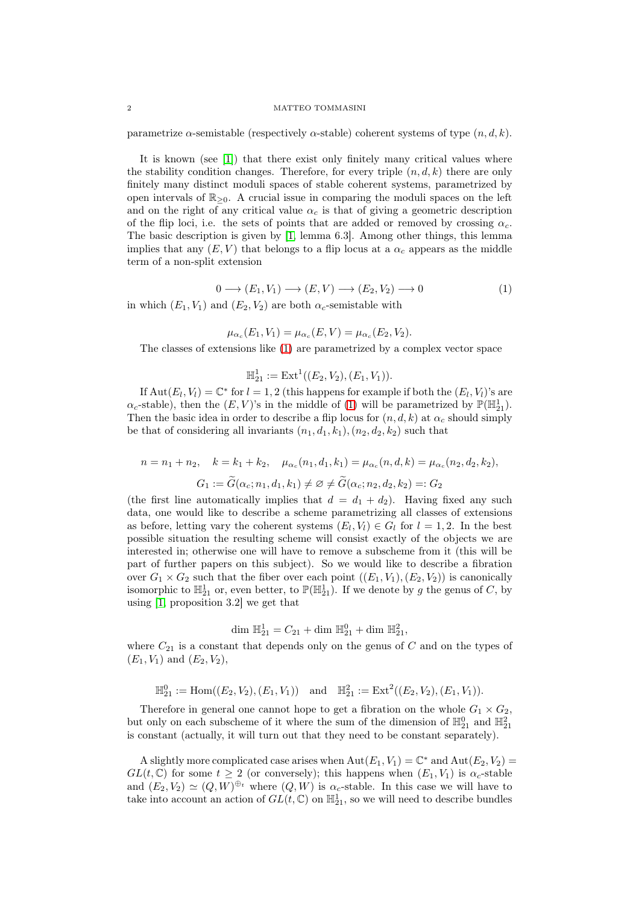parametrize  $\alpha$ -semistable (respectively  $\alpha$ -stable) coherent systems of type  $(n, d, k)$ .

It is known (see [\[1\]](#page-28-1)) that there exist only finitely many critical values where the stability condition changes. Therefore, for every triple  $(n, d, k)$  there are only finitely many distinct moduli spaces of stable coherent systems, parametrized by open intervals of  $\mathbb{R}_{\geq 0}$ . A crucial issue in comparing the moduli spaces on the left and on the right of any critical value  $\alpha_c$  is that of giving a geometric description of the flip loci, i.e. the sets of points that are added or removed by crossing  $\alpha_c$ . The basic description is given by [\[1,](#page-28-1) lemma 6.3]. Among other things, this lemma implies that any  $(E, V)$  that belongs to a flip locus at a  $\alpha_c$  appears as the middle term of a non-split extension

<span id="page-1-0"></span>
$$
0 \longrightarrow (E_1, V_1) \longrightarrow (E, V) \longrightarrow (E_2, V_2) \longrightarrow 0 \tag{1}
$$

in which  $(E_1, V_1)$  and  $(E_2, V_2)$  are both  $\alpha_c$ -semistable with

$$
\mu_{\alpha_c}(E_1, V_1) = \mu_{\alpha_c}(E, V) = \mu_{\alpha_c}(E_2, V_2).
$$

The classes of extensions like [\(1\)](#page-1-0) are parametrized by a complex vector space

$$
\mathbb{H}_{21}^1 := \mathrm{Ext}^1((E_2, V_2), (E_1, V_1)).
$$

If  $Aut(E_l, V_l) = \mathbb{C}^*$  for  $l = 1, 2$  (this happens for example if both the  $(E_l, V_l)$ 's are  $\alpha_c$ -stable), then the  $(E, V)$ 's in the middle of [\(1\)](#page-1-0) will be parametrized by  $\mathbb{P}(\mathbb{H}_{21}^1)$ . Then the basic idea in order to describe a flip locus for  $(n, d, k)$  at  $\alpha_c$  should simply be that of considering all invariants  $(n_1, d_1, k_1), (n_2, d_2, k_2)$  such that

$$
n = n_1 + n_2, \quad k = k_1 + k_2, \quad \mu_{\alpha_c}(n_1, d_1, k_1) = \mu_{\alpha_c}(n, d, k) = \mu_{\alpha_c}(n_2, d_2, k_2),
$$

$$
G_1 := \widetilde{G}(\alpha_c; n_1, d_1, k_1) \neq \varnothing \neq \widetilde{G}(\alpha_c; n_2, d_2, k_2) =: G_2
$$

(the first line automatically implies that  $d = d_1 + d_2$ ). Having fixed any such data, one would like to describe a scheme parametrizing all classes of extensions as before, letting vary the coherent systems  $(E_l, V_l) \in G_l$  for  $l = 1, 2$ . In the best possible situation the resulting scheme will consist exactly of the objects we are interested in; otherwise one will have to remove a subscheme from it (this will be part of further papers on this subject). So we would like to describe a fibration over  $G_1 \times G_2$  such that the fiber over each point  $((E_1, V_1), (E_2, V_2))$  is canonically isomorphic to  $\mathbb{H}_{21}^1$  or, even better, to  $\mathbb{P}(\mathbb{H}_{21}^1)$ . If we denote by g the genus of C, by using [\[1,](#page-28-1) proposition 3.2] we get that

$$
\dim \mathbb{H}_{21}^1 = C_{21} + \dim \mathbb{H}_{21}^0 + \dim \mathbb{H}_{21}^2,
$$

where  $C_{21}$  is a constant that depends only on the genus of  $C$  and on the types of  $(E_1, V_1)$  and  $(E_2, V_2)$ ,

$$
\mathbb{H}_{21}^0 := \text{Hom}((E_2, V_2), (E_1, V_1)) \text{ and } \mathbb{H}_{21}^2 := \text{Ext}^2((E_2, V_2), (E_1, V_1)).
$$

Therefore in general one cannot hope to get a fibration on the whole  $G_1 \times G_2$ , but only on each subscheme of it where the sum of the dimension of  $\mathbb{H}_{21}^0$  and  $\mathbb{H}_{21}^2$ is constant (actually, it will turn out that they need to be constant separately).

A slightly more complicated case arises when  $Aut(E_1, V_1) = \mathbb{C}^*$  and  $Aut(E_2, V_2) =$  $GL(t,\mathbb{C})$  for some  $t\geq 2$  (or conversely); this happens when  $(E_1, V_1)$  is  $\alpha_c$ -stable and  $(E_2, V_2) \simeq (Q, W)^{\oplus t}$  where  $(Q, W)$  is  $\alpha_c$ -stable. In this case we will have to take into account an action of  $GL(t, \mathbb{C})$  on  $\mathbb{H}_{21}^1$ , so we will need to describe bundles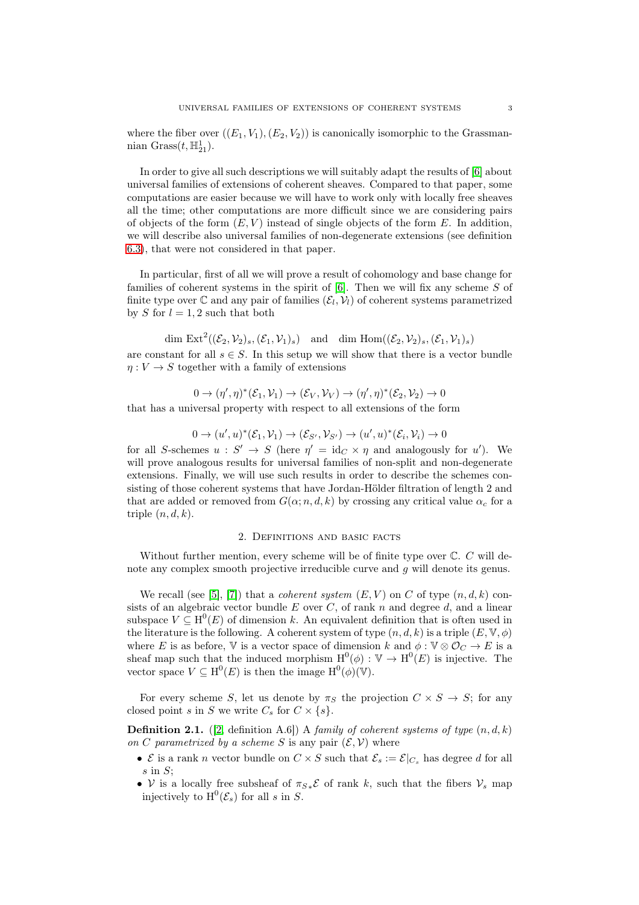where the fiber over  $((E_1, V_1), (E_2, V_2))$  is canonically isomorphic to the Grassmannian  $Grass(t, \mathbb{H}^1_{21}).$ 

In order to give all such descriptions we will suitably adapt the results of [\[6\]](#page-28-2) about universal families of extensions of coherent sheaves. Compared to that paper, some computations are easier because we will have to work only with locally free sheaves all the time; other computations are more difficult since we are considering pairs of objects of the form  $(E, V)$  instead of single objects of the form E. In addition, we will describe also universal families of non-degenerate extensions (see definition [6.3\)](#page-19-0), that were not considered in that paper.

In particular, first of all we will prove a result of cohomology and base change for families of coherent systems in the spirit of  $[6]$ . Then we will fix any scheme S of finite type over  $\mathbb C$  and any pair of families  $(\mathcal{E}_l, \mathcal{V}_l)$  of coherent systems parametrized by S for  $l = 1, 2$  such that both

dim  $\text{Ext}^2((\mathcal{E}_2, \mathcal{V}_2)_s, (\mathcal{E}_1, \mathcal{V}_1)_s)$  and dim  $\text{Hom}((\mathcal{E}_2, \mathcal{V}_2)_s, (\mathcal{E}_1, \mathcal{V}_1)_s)$ are constant for all  $s \in S$ . In this setup we will show that there is a vector bundle  $\eta: V \to S$  together with a family of extensions

 $0 \to (\eta', \eta)^*(\mathcal{E}_1, \mathcal{V}_1) \to (\mathcal{E}_V, \mathcal{V}_V) \to (\eta', \eta)^*(\mathcal{E}_2, \mathcal{V}_2) \to 0$ that has a universal property with respect to all extensions of the form

 $0 \to (u', u)^*(\mathcal{E}_1, \mathcal{V}_1) \to (\mathcal{E}_{S'}, \mathcal{V}_{S'}) \to (u', u)^*(\mathcal{E}_i, \mathcal{V}_i) \to 0$ 

for all S-schemes  $u : S' \to S$  (here  $\eta' = id_C \times \eta$  and analogously for u'). We will prove analogous results for universal families of non-split and non-degenerate extensions. Finally, we will use such results in order to describe the schemes consisting of those coherent systems that have Jordan-Hölder filtration of length 2 and that are added or removed from  $G(\alpha; n, d, k)$  by crossing any critical value  $\alpha_c$  for a triple  $(n, d, k)$ .

### 2. Definitions and basic facts

Without further mention, every scheme will be of finite type over  $\mathbb{C}$ .  $C$  will denote any complex smooth projective irreducible curve and g will denote its genus.

We recall (see [\[5\]](#page-28-0), [\[7\]](#page-28-3)) that a *coherent system*  $(E, V)$  on C of type  $(n, d, k)$  consists of an algebraic vector bundle  $E$  over  $C$ , of rank  $n$  and degree  $d$ , and a linear subspace  $V \subseteq H^0(E)$  of dimension k. An equivalent definition that is often used in the literature is the following. A coherent system of type  $(n, d, k)$  is a triple  $(E, \mathbb{V}, \phi)$ where E is as before, V is a vector space of dimension k and  $\phi : \mathbb{V} \otimes \mathcal{O}_C \to E$  is a sheaf map such that the induced morphism  $H^0(\phi) : V \to H^0(E)$  is injective. The vector space  $V \subseteq H^0(E)$  is then the image  $H^0(\phi)(\mathbb{V})$ .

For every scheme S, let us denote by  $\pi_S$  the projection  $C \times S \rightarrow S$ ; for any closed point s in S we write  $C_s$  for  $C \times \{s\}.$ 

<span id="page-2-0"></span>**Definition 2.1.** ([\[2,](#page-28-4) definition A.6]) A family of coherent systems of type  $(n, d, k)$ on C parametrized by a scheme S is any pair  $(\mathcal{E}, \mathcal{V})$  where

- $\mathcal E$  is a rank *n* vector bundle on  $C \times S$  such that  $\mathcal E_s := \mathcal E|_{C_s}$  has degree d for all  $s$  in  $S$ ;
- V is a locally free subsheaf of  $\pi_{S*}\mathcal{E}$  of rank k, such that the fibers  $\mathcal{V}_s$  map injectively to  $H^0(\mathcal{E}_s)$  for all s in S.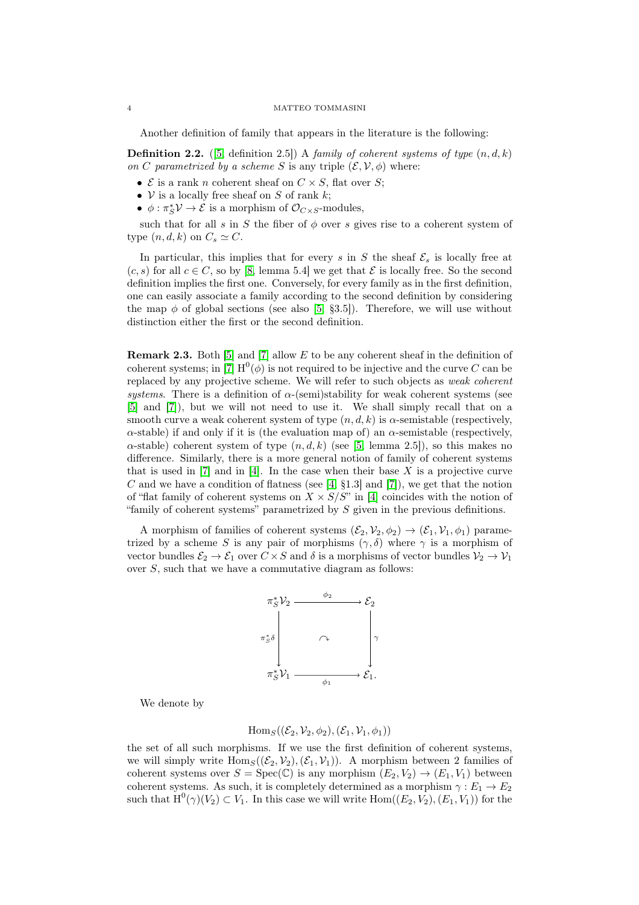Another definition of family that appears in the literature is the following:

<span id="page-3-1"></span>**Definition 2.2.** ([\[5,](#page-28-0) definition 2.5]) A family of coherent systems of type  $(n, d, k)$ on C parametrized by a scheme S is any triple  $(\mathcal{E}, \mathcal{V}, \phi)$  where:

- $\mathcal E$  is a rank *n* coherent sheaf on  $C \times S$ , flat over S;
- $V$  is a locally free sheaf on S of rank k;
- $\phi: \pi_S^* \mathcal{V} \to \mathcal{E}$  is a morphism of  $\mathcal{O}_{C \times S}$ -modules,

such that for all s in S the fiber of  $\phi$  over s gives rise to a coherent system of type  $(n, d, k)$  on  $C_s \simeq C$ .

In particular, this implies that for every s in S the sheaf  $\mathcal{E}_s$  is locally free at  $(c, s)$  for all  $c \in C$ , so by [\[8,](#page-28-5) lemma 5.4] we get that  $\mathcal E$  is locally free. So the second definition implies the first one. Conversely, for every family as in the first definition, one can easily associate a family according to the second definition by considering the map  $\phi$  of global sections (see also [\[5,](#page-28-0) §3.5]). Therefore, we will use without distinction either the first or the second definition.

<span id="page-3-0"></span>Remark 2.3. Both [\[5\]](#page-28-0) and [\[7\]](#page-28-3) allow E to be any coherent sheaf in the definition of coherent systems; in [\[7\]](#page-28-3)  $H^0(\phi)$  is not required to be injective and the curve C can be replaced by any projective scheme. We will refer to such objects as weak coherent systems. There is a definition of  $\alpha$ -(semi)stability for weak coherent systems (see [\[5\]](#page-28-0) and [\[7\]](#page-28-3)), but we will not need to use it. We shall simply recall that on a smooth curve a weak coherent system of type  $(n, d, k)$  is  $\alpha$ -semistable (respectively,  $\alpha$ -stable) if and only if it is (the evaluation map of) an  $\alpha$ -semistable (respectively,  $\alpha$ -stable) coherent system of type  $(n, d, k)$  (see [\[5,](#page-28-0) lemma 2.5]), so this makes no difference. Similarly, there is a more general notion of family of coherent systems that is used in  $[7]$  and in  $[4]$ . In the case when their base X is a projective curve C and we have a condition of flatness (see  $[4, §1.3]$  and  $[7]$ ), we get that the notion of "flat family of coherent systems on  $X \times S/S$ " in [\[4\]](#page-28-6) coincides with the notion of "family of coherent systems" parametrized by S given in the previous definitions.

A morphism of families of coherent systems  $(\mathcal{E}_2, \mathcal{V}_2, \phi_2) \to (\mathcal{E}_1, \mathcal{V}_1, \phi_1)$  parametrized by a scheme S is any pair of morphisms  $(\gamma, \delta)$  where  $\gamma$  is a morphism of vector bundles  $\mathcal{E}_2 \to \mathcal{E}_1$  over  $C \times S$  and  $\delta$  is a morphisms of vector bundles  $\mathcal{V}_2 \to \mathcal{V}_1$ over  $S$ , such that we have a commutative diagram as follows:



We denote by

$$
\mathrm{Hom}_S((\mathcal{E}_2,\mathcal{V}_2,\phi_2),(\mathcal{E}_1,\mathcal{V}_1,\phi_1))
$$

the set of all such morphisms. If we use the first definition of coherent systems, we will simply write  $\text{Hom}_S((\mathcal{E}_2, \mathcal{V}_2),(\mathcal{E}_1, \mathcal{V}_1)).$  A morphism between 2 families of coherent systems over  $S = \text{Spec}(\mathbb{C})$  is any morphism  $(E_2, V_2) \to (E_1, V_1)$  between coherent systems. As such, it is completely determined as a morphism  $\gamma : E_1 \to E_2$ such that  $H^0(\gamma)(V_2) \subset V_1$ . In this case we will write  $Hom((E_2, V_2), (E_1, V_1))$  for the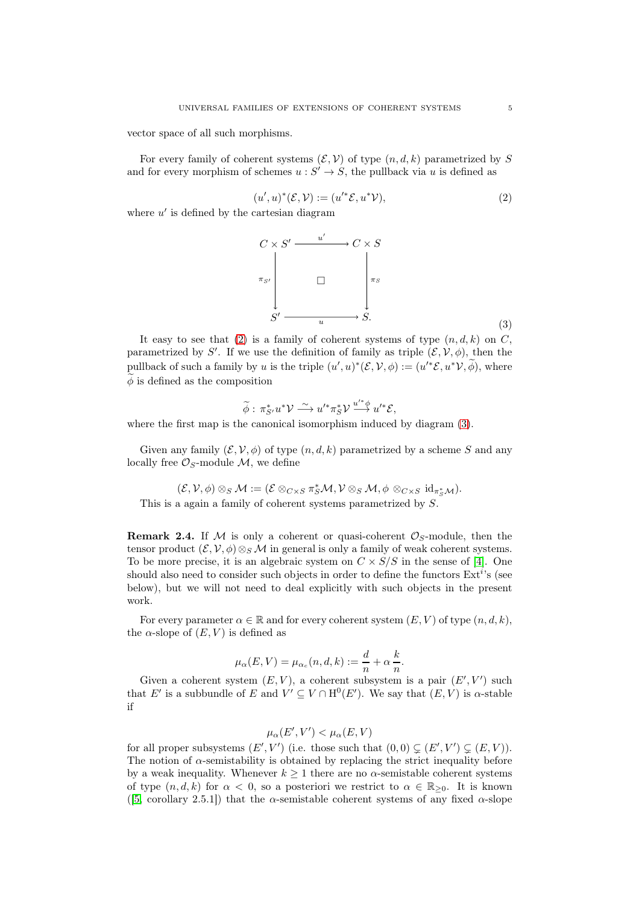vector space of all such morphisms.

For every family of coherent systems  $(\mathcal{E}, \mathcal{V})$  of type  $(n, d, k)$  parametrized by S and for every morphism of schemes  $u : S' \to S$ , the pullback via u is defined as

<span id="page-4-0"></span>
$$
(u',u)^*(\mathcal{E},\mathcal{V}):=(u'^*\mathcal{E},u^*\mathcal{V}),\tag{2}
$$

where  $u'$  is defined by the cartesian diagram



It easy to see that [\(2\)](#page-4-0) is a family of coherent systems of type  $(n, d, k)$  on C, parametrized by S'. If we use the definition of family as triple  $(\mathcal{E}, \mathcal{V}, \phi)$ , then the pullback of such a family by u is the triple  $(u', u)^*(\mathcal{E}, \mathcal{V}, \phi) := (u'^*\mathcal{E}, u^*\mathcal{V}, \widetilde{\phi}),$  where  $\phi$  is defined as the composition

<span id="page-4-1"></span>
$$
\widetilde{\phi}: \pi_{S'}^* u^* \mathcal{V} \stackrel{\sim}{\longrightarrow} u'^* \pi_S^* \mathcal{V} \stackrel{u'^* \phi}{\longrightarrow} u'^* \mathcal{E},
$$

where the first map is the canonical isomorphism induced by diagram [\(3\)](#page-4-1).

Given any family  $(\mathcal{E}, \mathcal{V}, \phi)$  of type  $(n, d, k)$  parametrized by a scheme S and any locally free  $\mathcal{O}_S$ -module  $\mathcal{M}$ , we define

$$
(\mathcal{E}, \mathcal{V}, \phi) \otimes_S \mathcal{M} := (\mathcal{E} \otimes_{C \times S} \pi_S^* \mathcal{M}, \mathcal{V} \otimes_S \mathcal{M}, \phi \otimes_{C \times S} id_{\pi_S^* \mathcal{M}}).
$$
This is a again a family of coherent systems parametrized by  $S$ .

<span id="page-4-2"></span>**Remark 2.4.** If M is only a coherent or quasi-coherent  $\mathcal{O}_S$ -module, then the tensor product  $(\mathcal{E}, \mathcal{V}, \phi) \otimes_{S} \mathcal{M}$  in general is only a family of weak coherent systems. To be more precise, it is an algebraic system on  $C \times S/S$  in the sense of [\[4\]](#page-28-6). One should also need to consider such objects in order to define the functors  $\text{Ext}^{i}$ 's (see below), but we will not need to deal explicitly with such objects in the present work.

For every parameter  $\alpha \in \mathbb{R}$  and for every coherent system  $(E, V)$  of type  $(n, d, k)$ , the  $\alpha$ -slope of  $(E, V)$  is defined as

$$
\mu_{\alpha}(E, V) = \mu_{\alpha_c}(n, d, k) := \frac{d}{n} + \alpha \frac{k}{n}.
$$

Given a coherent system  $(E, V)$ , a coherent subsystem is a pair  $(E', V')$  such that E' is a subbundle of E and  $V' \subseteq V \cap H^0(E')$ . We say that  $(E, V)$  is  $\alpha$ -stable if

$$
\mu_{\alpha}(E', V') < \mu_{\alpha}(E, V)
$$

for all proper subsystems  $(E', V')$  (i.e. those such that  $(0,0) \subsetneq (E', V') \subsetneq (E, V)$ ). The notion of  $\alpha$ -semistability is obtained by replacing the strict inequality before by a weak inequality. Whenever  $k \geq 1$  there are no  $\alpha$ -semistable coherent systems of type  $(n, d, k)$  for  $\alpha < 0$ , so a posteriori we restrict to  $\alpha \in \mathbb{R}_{\geq 0}$ . It is known ([\[5,](#page-28-0) corollary 2.5.1]) that the  $\alpha$ -semistable coherent systems of any fixed  $\alpha$ -slope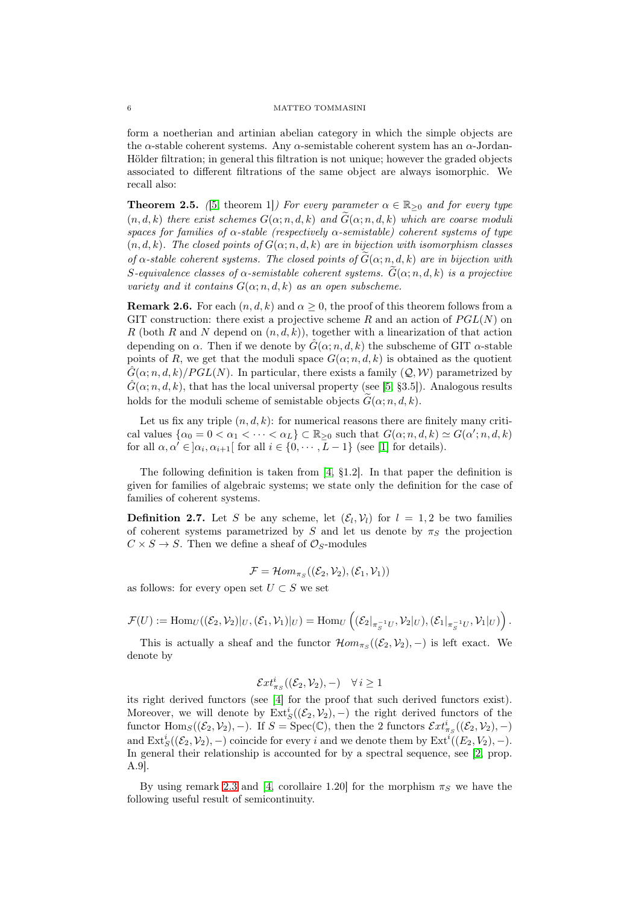form a noetherian and artinian abelian category in which the simple objects are the  $\alpha$ -stable coherent systems. Any  $\alpha$ -semistable coherent system has an  $\alpha$ -Jordan-Hölder filtration; in general this filtration is not unique; however the graded objects associated to different filtrations of the same object are always isomorphic. We recall also:

**Theorem 2.5.** ([\[5,](#page-28-0) theorem 1]) For every parameter  $\alpha \in \mathbb{R}_{\geq 0}$  and for every type  $(n, d, k)$  there exist schemes  $G(\alpha; n, d, k)$  and  $G(\alpha; n, d, k)$  which are coarse moduli spaces for families of  $\alpha$ -stable (respectively  $\alpha$ -semistable) coherent systems of type  $(n, d, k)$ . The closed points of  $G(\alpha; n, d, k)$  are in bijection with isomorphism classes of  $\alpha$ -stable coherent systems. The closed points of  $G(\alpha; n, d, k)$  are in bijection with S-equivalence classes of  $\alpha$ -semistable coherent systems.  $G(\alpha; n, d, k)$  is a projective variety and it contains  $G(\alpha; n, d, k)$  as an open subscheme.

<span id="page-5-0"></span>**Remark 2.6.** For each  $(n, d, k)$  and  $\alpha \geq 0$ , the proof of this theorem follows from a GIT construction: there exist a projective scheme R and an action of  $PGL(N)$  on R (both R and N depend on  $(n, d, k)$ ), together with a linearization of that action depending on  $\alpha$ . Then if we denote by  $\hat{G}(\alpha; n, d, k)$  the subscheme of GIT  $\alpha$ -stable points of R, we get that the moduli space  $G(\alpha; n, d, k)$  is obtained as the quotient  $G(\alpha; n, d, k)/PGL(N)$ . In particular, there exists a family  $(Q, W)$  parametrized by  $\hat{G}(\alpha; n, d, k)$ , that has the local universal property (see [\[5,](#page-28-0) §3.5]). Analogous results holds for the moduli scheme of semistable objects  $G(\alpha; n, d, k)$ .

Let us fix any triple  $(n, d, k)$ : for numerical reasons there are finitely many critical values  $\{\alpha_0 = 0 < \alpha_1 < \cdots < \alpha_L\} \subset \mathbb{R}_{\geq 0}$  such that  $G(\alpha; n, d, k) \simeq G(\alpha'; n, d, k)$ for all  $\alpha, \alpha' \in ]\alpha_i, \alpha_{i+1}[$  for all  $i \in \{0, \cdots, L-1\}$  (see [\[1\]](#page-28-1) for details).

The following definition is taken from [\[4,](#page-28-6) §1.2]. In that paper the definition is given for families of algebraic systems; we state only the definition for the case of families of coherent systems.

**Definition 2.7.** Let S be any scheme, let  $(\mathcal{E}_l, \mathcal{V}_l)$  for  $l = 1, 2$  be two families of coherent systems parametrized by S and let us denote by  $\pi_S$  the projection  $C \times S \rightarrow S$ . Then we define a sheaf of  $\mathcal{O}_S$ -modules

$$
\mathcal{F} = \mathcal{H}om_{\pi_S}((\mathcal{E}_2, \mathcal{V}_2), (\mathcal{E}_1, \mathcal{V}_1))
$$

as follows: for every open set  $U \subset S$  we set

$$
\mathcal{F}(U):=\mathrm{Hom}_{U}((\mathcal{E}_{2},\mathcal{V}_{2})|_{U},(\mathcal{E}_{1},\mathcal{V}_{1})|_{U})=\mathrm{Hom}_{U}\left((\mathcal{E}_{2}|_{\pi_{S}^{-1}U},\mathcal{V}_{2}|_{U}),(\mathcal{E}_{1}|_{\pi_{S}^{-1}U},\mathcal{V}_{1}|_{U})\right).
$$

This is actually a sheaf and the functor  $\mathcal{H}om_{\pi_S}((\mathcal{E}_2, \mathcal{V}_2), -)$  is left exact. We denote by

$$
\mathcal{E}xt^i_{\pi_S}((\mathcal{E}_2,\mathcal{V}_2),-)\quad\forall\,i\geq 1
$$

its right derived functors (see [\[4\]](#page-28-6) for the proof that such derived functors exist). Moreover, we will denote by  $\text{Ext}^i_S((\mathcal{E}_2, \mathcal{V}_2), -)$  the right derived functors of the functor  $\text{Hom}_S((\mathcal{E}_2, \mathcal{V}_2), -)$ . If  $S = \text{Spec}(\mathbb{C})$ , then the 2 functors  $\mathcal{E}xt^i_{\pi_S}((\mathcal{E}_2, \mathcal{V}_2), -)$ and  $\text{Ext}^i_S((\mathcal{E}_2, \mathcal{V}_2), -)$  coincide for every i and we denote them by  $\text{Ext}^i((E_2, V_2), -)$ . In general their relationship is accounted for by a spectral sequence, see [\[2,](#page-28-4) prop. A.9].

By using remark [2.3](#page-3-0) and [\[4,](#page-28-6) corollaire 1.20] for the morphism  $\pi_S$  we have the following useful result of semicontinuity.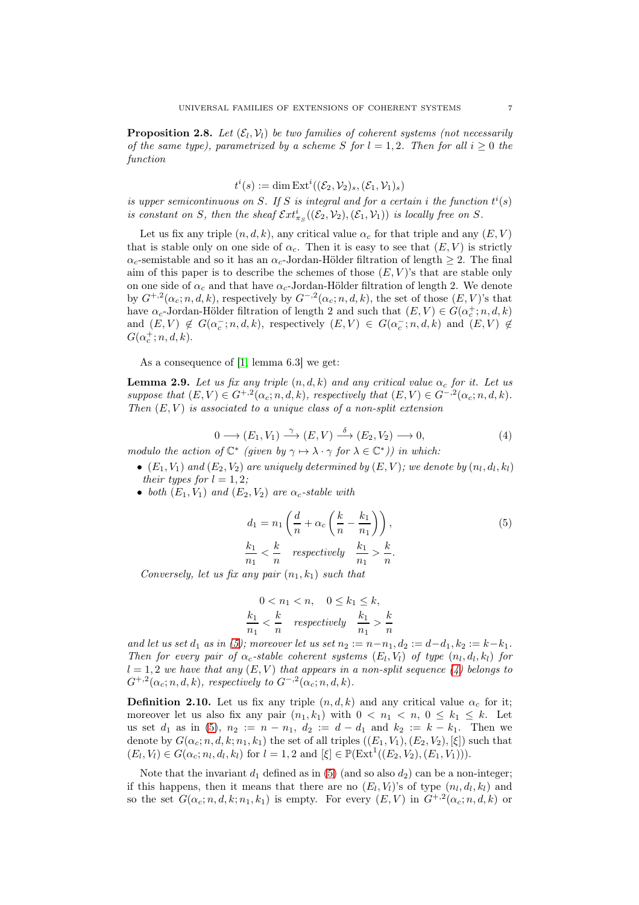<span id="page-6-2"></span>**Proposition 2.8.** Let  $(\mathcal{E}_l, \mathcal{V}_l)$  be two families of coherent systems (not necessarily of the same type), parametrized by a scheme S for  $l = 1, 2$ . Then for all  $i \geq 0$  the function

$$
t^i(s) := \dim \operatorname{Ext}^i((\mathcal{E}_2, \mathcal{V}_2)_s, (\mathcal{E}_1, \mathcal{V}_1)_s)
$$

is upper semicontinuous on S. If S is integral and for a certain i the function  $t^i(s)$ is constant on S, then the sheaf  $\mathcal{E}xt^i_{\pi_S}((\mathcal{E}_2,\mathcal{V}_2),(\mathcal{E}_1,\mathcal{V}_1))$  is locally free on S.

Let us fix any triple  $(n, d, k)$ , any critical value  $\alpha_c$  for that triple and any  $(E, V)$ that is stable only on one side of  $\alpha_c$ . Then it is easy to see that  $(E, V)$  is strictly  $\alpha_c$ -semistable and so it has an  $\alpha_c$ -Jordan-Hölder filtration of length  $\geq 2$ . The final aim of this paper is to describe the schemes of those  $(E, V)$ 's that are stable only on one side of  $\alpha_c$  and that have  $\alpha_c$ -Jordan-Hölder filtration of length 2. We denote by  $G^{+,2}(\alpha_c; n, d, k)$ , respectively by  $G^{-,2}(\alpha_c; n, d, k)$ , the set of those  $(E, V)$ 's that have  $\alpha_c$ -Jordan-Hölder filtration of length 2 and such that  $(E, V) \in G(\alpha_c^+; n, d, k)$ and  $(E, V) \notin G(\alpha_c^-; n, d, k)$ , respectively  $(E, V) \in G(\alpha_c^-; n, d, k)$  and  $(E, V) \notin$  $G(\alpha_c^+; n, d, k)$ .

As a consequence of [\[1,](#page-28-1) lemma 6.3] we get:

<span id="page-6-4"></span>**Lemma 2.9.** Let us fix any triple  $(n, d, k)$  and any critical value  $\alpha_c$  for it. Let us suppose that  $(E, V) \in G^{+,2}(\alpha_c; n, d, k)$ , respectively that  $(E, V) \in G^{-,2}(\alpha_c; n, d, k)$ . Then  $(E, V)$  is associated to a unique class of a non-split extension

<span id="page-6-1"></span>
$$
0 \longrightarrow (E_1, V_1) \xrightarrow{\gamma} (E, V) \xrightarrow{\delta} (E_2, V_2) \longrightarrow 0,
$$
\n
$$
(4)
$$

modulo the action of  $\mathbb{C}^*$  (given by  $\gamma \mapsto \lambda \cdot \gamma$  for  $\lambda \in \mathbb{C}^*$ )) in which:

- $\bullet$   $(E_1, V_1)$  and  $(E_2, V_2)$  are uniquely determined by  $(E, V)$ ; we denote by  $(n_l, d_l, k_l)$ their types for  $l = 1, 2;$
- both  $(E_1, V_1)$  and  $(E_2, V_2)$  are  $\alpha_c$ -stable with

<span id="page-6-0"></span>
$$
d_1 = n_1 \left( \frac{d}{n} + \alpha_c \left( \frac{k}{n} - \frac{k_1}{n_1} \right) \right),
$$
  
\n
$$
\frac{k_1}{n_1} < \frac{k}{n} \quad \text{respectively} \quad \frac{k_1}{n_1} > \frac{k}{n}.
$$
\n
$$
(5)
$$

Conversely, let us fix any pair  $(n_1, k_1)$  such that

$$
0 < n_1 < n, \quad 0 \le k_1 \le k,
$$
\n
$$
\frac{k_1}{n_1} < \frac{k}{n} \quad \text{respectively} \quad \frac{k_1}{n_1} > \frac{k}{n}
$$

and let us set  $d_1$  as in [\(5\)](#page-6-0); moreover let us set  $n_2 := n - n_1, d_2 := d - d_1, k_2 := k - k_1$ . Then for every pair of  $\alpha_c$ -stable coherent systems  $(E_l, V_l)$  of type  $(n_l, d_l, k_l)$  for  $l = 1, 2$  we have that any  $(E, V)$  that appears in a non-split sequence  $\ell(4)$  belongs to  $G^{+,2}(\alpha_c; n, d, k)$ , respectively to  $G^{-,2}(\alpha_c; n, d, k)$ .

<span id="page-6-3"></span>**Definition 2.10.** Let us fix any triple  $(n, d, k)$  and any critical value  $\alpha_c$  for it; moreover let us also fix any pair  $(n_1, k_1)$  with  $0 < n_1 < n, 0 \leq k_1 \leq k$ . Let us set  $d_1$  as in [\(5\)](#page-6-0),  $n_2 := n - n_1$ ,  $d_2 := d - d_1$  and  $k_2 := k - k_1$ . Then we denote by  $G(\alpha_c; n, d, k; n_1, k_1)$  the set of all triples  $((E_1, V_1), (E_2, V_2), [\xi])$  such that  $(E_l, V_l) \in G(\alpha_c; n_l, d_l, k_l)$  for  $l = 1, 2$  and  $[\xi] \in \mathbb{P}(\text{Ext}^1((E_2, V_2), (E_1, V_1))).$ 

Note that the invariant  $d_1$  defined as in [\(5\)](#page-6-0) (and so also  $d_2$ ) can be a non-integer; if this happens, then it means that there are no  $(E_l, V_l)$ 's of type  $(n_l, d_l, k_l)$  and so the set  $G(\alpha_c; n, d, k; n_1, k_1)$  is empty. For every  $(E, V)$  in  $G^{+,2}(\alpha_c; n, d, k)$  or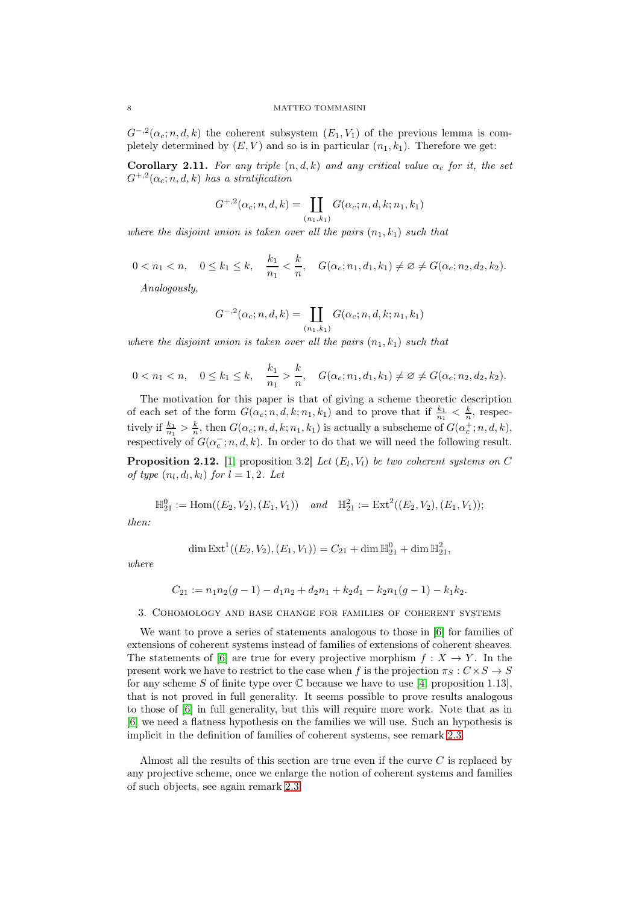$G^{-,2}(\alpha_c; n, d, k)$  the coherent subsystem  $(E_1, V_1)$  of the previous lemma is completely determined by  $(E, V)$  and so is in particular  $(n_1, k_1)$ . Therefore we get:

<span id="page-7-1"></span>**Corollary 2.11.** For any triple  $(n, d, k)$  and any critical value  $\alpha_c$  for it, the set  $G^{+,2}(\alpha_c; n, d, k)$  has a stratification

$$
G^{+,2}(\alpha_c; n, d, k) = \coprod_{(n_1, k_1)} G(\alpha_c; n, d, k; n_1, k_1)
$$

where the disjoint union is taken over all the pairs  $(n_1, k_1)$  such that

 $0 < n_1 < n, \quad 0 \le k_1 \le k, \quad \frac{k_1}{n_1} < \frac{k}{n}$  $\frac{n}{n}$ ,  $G(\alpha_c; n_1, d_1, k_1) \neq \emptyset \neq G(\alpha_c; n_2, d_2, k_2).$ 

Analogously,

$$
G^{-,2}(\alpha_c; n, d, k) = \coprod_{(n_1, k_1)} G(\alpha_c; n, d, k; n_1, k_1)
$$

where the disjoint union is taken over all the pairs  $(n_1, k_1)$  such that

$$
0 < n_1 < n, \quad 0 \leq k_1 \leq k, \quad \frac{k_1}{n_1} > \frac{k}{n}, \quad G(\alpha_c; n_1, d_1, k_1) \neq \emptyset \neq G(\alpha_c; n_2, d_2, k_2).
$$

The motivation for this paper is that of giving a scheme theoretic description of each set of the form  $G(\alpha_c; n, d, k; n_1, k_1)$  and to prove that if  $\frac{k_1}{n_1} < \frac{k}{n}$ , respectively if  $\frac{k_1}{n_1} > \frac{k}{n}$ , then  $G(\alpha_c; n, d, k; n_1, k_1)$  is actually a subscheme of  $G(\alpha_c^+; n, d, k)$ , respectively of  $G(\alpha_c^-; n, d, k)$ . In order to do that we will need the following result.

<span id="page-7-0"></span>**Proposition 2.12.** [\[1,](#page-28-1) proposition 3.2] Let  $(E_l, V_l)$  be two coherent systems on C of type  $(n_l, d_l, k_l)$  for  $l = 1, 2$ . Let

$$
\mathbb{H}_{21}^0 := \text{Hom}((E_2, V_2), (E_1, V_1)) \quad \text{and} \quad \mathbb{H}_{21}^2 := \text{Ext}^2((E_2, V_2), (E_1, V_1));
$$

then:

$$
\dim \text{Ext}^{1}((E_{2}, V_{2}), (E_{1}, V_{1})) = C_{21} + \dim \mathbb{H}_{21}^{0} + \dim \mathbb{H}_{21}^{2},
$$

where

$$
C_{21} := n_1 n_2 (g-1) - d_1 n_2 + d_2 n_1 + k_2 d_1 - k_2 n_1 (g-1) - k_1 k_2.
$$

3. Cohomology and base change for families of coherent systems

We want to prove a series of statements analogous to those in [\[6\]](#page-28-2) for families of extensions of coherent systems instead of families of extensions of coherent sheaves. The statements of [\[6\]](#page-28-2) are true for every projective morphism  $f: X \to Y$ . In the present work we have to restrict to the case when f is the projection  $\pi_S : C \times S \to S$ for any scheme S of finite type over  $\mathbb C$  because we have to use [\[4,](#page-28-6) proposition 1.13], that is not proved in full generality. It seems possible to prove results analogous to those of [\[6\]](#page-28-2) in full generality, but this will require more work. Note that as in [\[6\]](#page-28-2) we need a flatness hypothesis on the families we will use. Such an hypothesis is implicit in the definition of families of coherent systems, see remark [2.3.](#page-3-0)

Almost all the results of this section are true even if the curve  $C$  is replaced by any projective scheme, once we enlarge the notion of coherent systems and families of such objects, see again remark [2.3.](#page-3-0)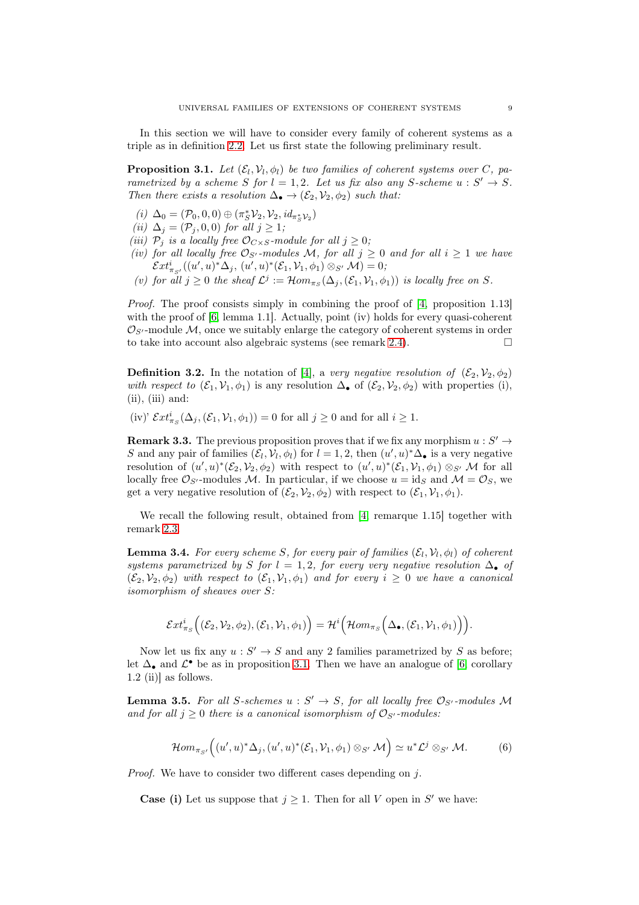In this section we will have to consider every family of coherent systems as a triple as in definition [2.2.](#page-3-1) Let us first state the following preliminary result.

<span id="page-8-0"></span>**Proposition 3.1.** Let  $(\mathcal{E}_l, \mathcal{V}_l, \phi_l)$  be two families of coherent systems over C, parametrized by a scheme S for  $l = 1, 2$ . Let us fix also any S-scheme  $u : S' \to S$ . Then there exists a resolution  $\Delta_{\bullet} \to (\mathcal{E}_2, \mathcal{V}_2, \phi_2)$  such that:

- (*i*)  $\Delta_0 = (\mathcal{P}_0, 0, 0) \oplus (\pi_S^* \mathcal{V}_2, \mathcal{V}_2, id_{\pi_S^* \mathcal{V}_2})$
- (ii)  $\Delta_j = (\mathcal{P}_j, 0, 0)$  for all  $j \geq 1$ ;
- (iii)  $\mathcal{P}_i$  is a locally free  $\mathcal{O}_{C\times S}$ -module for all  $j\geq 0$ ;
- (iv) for all locally free  $\mathcal{O}_{S'}$ -modules M, for all  $j \geq 0$  and for all  $i \geq 1$  we have  $\mathcal{E}xt^i_{\pi_{S'}}((u',u)^*\Delta_j, (u',u)^*(\mathcal{E}_1,\mathcal{V}_1,\phi_1)\otimes_{S'}\mathcal{M})=0;$
- (v) for all  $j \geq 0$  the sheaf  $\mathcal{L}^j := \mathcal{H}om_{\pi_S}(\Delta_j, (\mathcal{E}_1, \mathcal{V}_1, \phi_1))$  is locally free on S.

Proof. The proof consists simply in combining the proof of [\[4,](#page-28-6) proposition 1.13] with the proof of [\[6,](#page-28-2) lemma 1.1]. Actually, point (iv) holds for every quasi-coherent  $\mathcal{O}_{S'}$ -module M, once we suitably enlarge the category of coherent systems in order to take into account also algebraic systems (see remark [2.4\)](#page-4-2).  $\Box$ 

**Definition 3.2.** In the notation of [\[4\]](#page-28-6), a very negative resolution of  $(\mathcal{E}_2, \mathcal{V}_2, \phi_2)$ with respect to  $(\mathcal{E}_1, \mathcal{V}_1, \phi_1)$  is any resolution  $\Delta_{\bullet}$  of  $(\mathcal{E}_2, \mathcal{V}_2, \phi_2)$  with properties (i),  $(ii), (iii) and:$ 

(iv)'  $\mathcal{E}xt^i_{\pi_S}(\Delta_j, (\mathcal{E}_1, \mathcal{V}_1, \phi_1)) = 0$  for all  $j \geq 0$  and for all  $i \geq 1$ .

<span id="page-8-2"></span>**Remark 3.3.** The previous proposition proves that if we fix any morphism  $u : S' \to$ S and any pair of families  $(\mathcal{E}_l, \mathcal{V}_l, \phi_l)$  for  $l = 1, 2$ , then  $(u', u)^* \Delta_{\bullet}$  is a very negative resolution of  $(u',u)^*(\mathcal{E}_2,\mathcal{V}_2,\phi_2)$  with respect to  $(u',u)^*(\mathcal{E}_1,\mathcal{V}_1,\phi_1) \otimes_{S'} \mathcal{M}$  for all locally free  $\mathcal{O}_{S'}$ -modules M. In particular, if we choose  $u = id_S$  and  $\mathcal{M} = \mathcal{O}_S$ , we get a very negative resolution of  $(\mathcal{E}_2, \mathcal{V}_2, \phi_2)$  with respect to  $(\mathcal{E}_1, \mathcal{V}_1, \phi_1)$ .

We recall the following result, obtained from [\[4,](#page-28-6) remarque 1.15] together with remark [2.3.](#page-3-0)

<span id="page-8-3"></span>**Lemma 3.4.** For every scheme S, for every pair of families  $(\mathcal{E}_l, \mathcal{V}_l, \phi_l)$  of coherent systems parametrized by S for  $l = 1, 2$ , for every very negative resolution  $\Delta_{\bullet}$  of  $(\mathcal{E}_2, \mathcal{V}_2, \phi_2)$  with respect to  $(\mathcal{E}_1, \mathcal{V}_1, \phi_1)$  and for every  $i \geq 0$  we have a canonical isomorphism of sheaves over S:

$$
\mathcal{E}xt^i_{\pi_S}\Big((\mathcal{E}_2,\mathcal{V}_2,\phi_2),(\mathcal{E}_1,\mathcal{V}_1,\phi_1)\Big)=\mathcal{H}^i\Big(\mathcal{H}om_{\pi_S}\Big(\Delta_{\bullet},(\mathcal{E}_1,\mathcal{V}_1,\phi_1)\Big)\Big).
$$

Now let us fix any  $u : S' \to S$  and any 2 families parametrized by S as before; let  $\Delta_{\bullet}$  and  $\mathcal{L}^{\bullet}$  be as in proposition [3.1.](#page-8-0) Then we have an analogue of [\[6,](#page-28-2) corollary 1.2 (ii)] as follows.

<span id="page-8-4"></span>**Lemma 3.5.** For all S-schemes  $u : S' \to S$ , for all locally free  $\mathcal{O}_{S'}$ -modules M and for all  $j \geq 0$  there is a canonical isomorphism of  $\mathcal{O}_{S'}$ -modules:

<span id="page-8-1"></span>
$$
\mathcal{H}om_{\pi_{S'}}\Big((u',u)^*\Delta_j,(u',u)^*(\mathcal{E}_1,\mathcal{V}_1,\phi_1)\otimes_{S'}\mathcal{M}\Big)\simeq u^*\mathcal{L}^j\otimes_{S'}\mathcal{M}.\tag{6}
$$

Proof. We have to consider two different cases depending on j.

**Case (i)** Let us suppose that  $j \geq 1$ . Then for all V open in S' we have: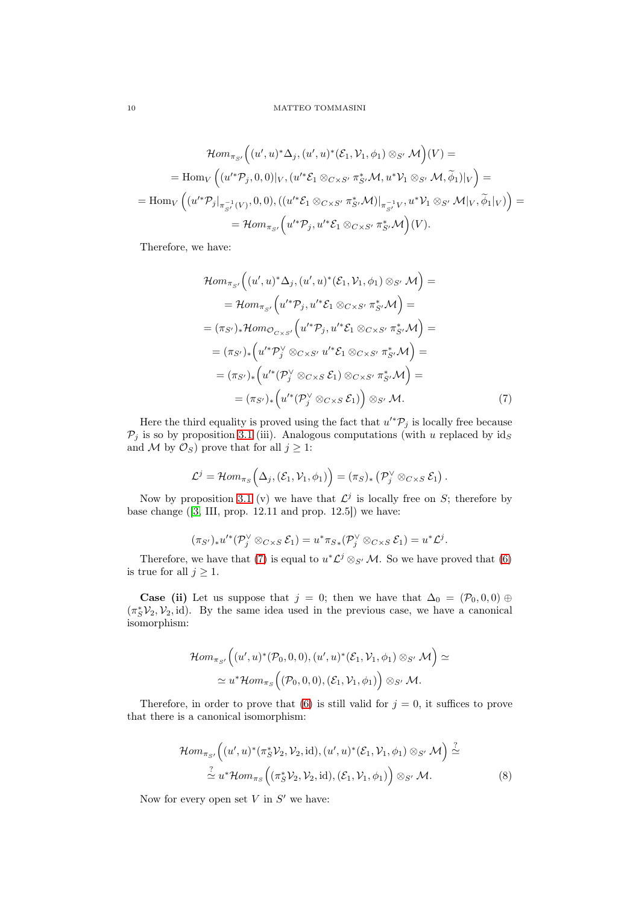$$
\mathcal{H}om_{\pi_{S'}}\Big((u',u)^*\Delta_j,(u',u)^*(\mathcal{E}_1,\mathcal{V}_1,\phi_1)\otimes_{S'}\mathcal{M}\Big)(V) =
$$
\n
$$
= \text{Hom}_V\left((u'^*\mathcal{P}_j,0,0)|_V,(u'^*\mathcal{E}_1\otimes_{C\times S'}\pi_{S'}^*\mathcal{M},u^*\mathcal{V}_1\otimes_{S'}\mathcal{M},\widetilde{\phi}_1)|_V\right) =
$$
\n
$$
= \text{Hom}_V\left((u'^*\mathcal{P}_j|_{\pi_{S'}^{-1}(V)},0,0),((u'^*\mathcal{E}_1\otimes_{C\times S'}\pi_{S'}^*\mathcal{M})|_{\pi_{S'}^{-1}V},u^*\mathcal{V}_1\otimes_{S'}\mathcal{M}|_V,\widetilde{\phi}_1|_V)\right) =
$$
\n
$$
= \mathcal{H}om_{\pi_{S'}}\left(u'^*\mathcal{P}_j,u'^*\mathcal{E}_1\otimes_{C\times S'}\pi_{S'}^*\mathcal{M}\right)(V).
$$

Therefore, we have:

<span id="page-9-0"></span>
$$
\mathcal{H}om_{\pi_{S'}}\Big((u',u)^*\Delta_j,(u',u)^*(\mathcal{E}_1,\mathcal{V}_1,\phi_1)\otimes_{S'}\mathcal{M}\Big)=
$$
\n
$$
=\mathcal{H}om_{\pi_{S'}}\Big(u'^*\mathcal{P}_j,u'^*\mathcal{E}_1\otimes_{C\times S'}\pi_{S'}^*\mathcal{M}\Big)=
$$
\n
$$
=(\pi_{S'})_*\mathcal{H}om_{\mathcal{O}_{C\times S'}}\Big(u'^*\mathcal{P}_j,u'^*\mathcal{E}_1\otimes_{C\times S'}\pi_{S'}^*\mathcal{M}\Big)=
$$
\n
$$
=(\pi_{S'})_*\Big(u'^*\mathcal{P}_j'\otimes_{C\times S'}u'^*\mathcal{E}_1\otimes_{C\times S'}\pi_{S'}^*\mathcal{M}\Big)=
$$
\n
$$
=(\pi_{S'})_*\Big(u'^*(\mathcal{P}_j'\otimes_{C\times S}\mathcal{E}_1)\otimes_{C\times S'}\pi_{S'}^*\mathcal{M}\Big)=
$$
\n
$$
=(\pi_{S'})_*\Big(u'^*(\mathcal{P}_j'\otimes_{C\times S}\mathcal{E}_1)\Big)\otimes_{S'}\mathcal{M}.
$$
\n(7)

Here the third equality is proved using the fact that  $u'^*\mathcal{P}_j$  is locally free because  $P_j$  is so by proposition [3.1](#page-8-0) (iii). Analogous computations (with u replaced by  $id_S$ and M by  $\mathcal{O}_S$ ) prove that for all  $j \geq 1$ :

$$
\mathcal{L}^j = \mathcal{H}om_{\pi_S}\Big(\Delta_j, (\mathcal{E}_1, \mathcal{V}_1, \phi_1)\Big) = (\pi_S)_*\left(\mathcal{P}_j^\vee \otimes_{C \times S} \mathcal{E}_1\right).
$$

Now by proposition [3.1](#page-8-0) (v) we have that  $\mathcal{L}^j$  is locally free on S; therefore by base change ([\[3,](#page-28-7) III, prop. 12.11 and prop. 12.5]) we have:

$$
(\pi_{S'})_*u'^*(\mathcal P_j^\vee \otimes_{C\times S} \mathcal E_1)=u^*\pi_{S*}(\mathcal P_j^\vee \otimes_{C\times S} \mathcal E_1)=u^*\mathcal L^j.
$$

Therefore, we have that [\(7\)](#page-9-0) is equal to  $u^*\mathcal{L}^j \otimes_{S'} \mathcal{M}$ . So we have proved that [\(6\)](#page-8-1) is true for all  $j \geq 1$ .

**Case (ii)** Let us suppose that  $j = 0$ ; then we have that  $\Delta_0 = (\mathcal{P}_0, 0, 0) \oplus$  $(\pi_S^* \mathcal{V}_2, \mathcal{V}_2, id)$ . By the same idea used in the previous case, we have a canonical isomorphism:

$$
\mathcal{H}om_{\pi_{S'}}\Big((u',u)^*(\mathcal{P}_0,0,0),(u',u)^*(\mathcal{E}_1,\mathcal{V}_1,\phi_1)\otimes_{S'}\mathcal{M}\Big)\simeq\\ \simeq u^*\mathcal{H}om_{\pi_{S}}\Big((\mathcal{P}_0,0,0),(\mathcal{E}_1,\mathcal{V}_1,\phi_1)\Big)\otimes_{S'}\mathcal{M}.
$$

Therefore, in order to prove that [\(6\)](#page-8-1) is still valid for  $j = 0$ , it suffices to prove that there is a canonical isomorphism:

<span id="page-9-1"></span>
$$
\mathcal{H}om_{\pi_{S'}}\Big((u',u)^*(\pi_S^* \mathcal{V}_2,\mathcal{V}_2,\mathrm{id}),(u',u)^*(\mathcal{E}_1,\mathcal{V}_1,\phi_1)\otimes_{S'} \mathcal{M}\Big) \stackrel{?}{\simeq}
$$
  

$$
\stackrel{?}{\simeq} u^*\mathcal{H}om_{\pi_S}\Big((\pi_S^*\mathcal{V}_2,\mathcal{V}_2,\mathrm{id}),(\mathcal{E}_1,\mathcal{V}_1,\phi_1)\Big) \otimes_{S'} \mathcal{M}.
$$
 (8)

Now for every open set  $V$  in  $S'$  we have: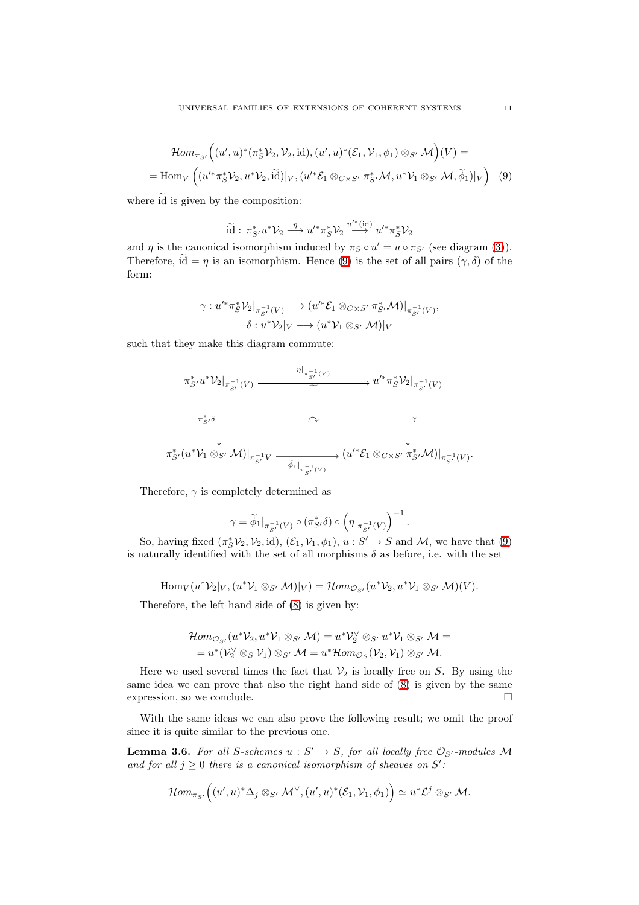<span id="page-10-0"></span>
$$
\mathcal{H}om_{\pi_{S'}}\Big((u',u)^*(\pi_S^*\mathcal{V}_2,\mathcal{V}_2,\mathrm{id}),(u',u)^*(\mathcal{E}_1,\mathcal{V}_1,\phi_1)\otimes_{S'}\mathcal{M}\Big)(V)=
$$
  
=\mathrm{Hom}\_V\Big((u'^\*\pi\_S^\*\mathcal{V}\_2,u^\*\mathcal{V}\_2,\widetilde{\mathrm{id}})|\_V,(u'^\*\mathcal{E}\_1\otimes\_{C\times S'}\pi\_{S'}^\*\mathcal{M},u^\*\mathcal{V}\_1\otimes\_{S'}\mathcal{M},\widetilde{\phi}\_1)|\_V\Big)\quad(9)

where  $\tilde{d}$  is given by the composition:

$$
\widetilde{\mathrm{id}}:\,\pi_{S'}^*u^*\mathcal{V}_2\stackrel{\eta}{\longrightarrow}u'^*\pi_S^*\mathcal{V}_2\stackrel{u'^*(\mathrm{id})}{\longrightarrow}u'^*\pi_S^*\mathcal{V}_2
$$

and  $\eta$  is the canonical isomorphism induced by  $\pi_S \circ u' = u \circ \pi_{S'}$  (see diagram [\(3\)](#page-4-1)). Therefore,  $\tilde{d} = \eta$  is an isomorphism. Hence [\(9\)](#page-10-0) is the set of all pairs  $(\gamma, \delta)$  of the form:

$$
\gamma: u'^* \pi_S^* \mathcal{V}_2|_{\pi_{S'}^{-1}(V)} \longrightarrow (u'^* \mathcal{E}_1 \otimes_{C \times S'} \pi_{S'}^* \mathcal{M})|_{\pi_{S'}^{-1}(V)},
$$
  

$$
\delta: u^* \mathcal{V}_2|_V \longrightarrow (u^* \mathcal{V}_1 \otimes_{S'} \mathcal{M})|_V
$$

such that they make this diagram commute:

$$
\pi_{S'}^* u^* \mathcal{V}_2|_{\pi_{S'}^{-1}(V)} \xrightarrow{\eta|_{\pi_{S'}^{-1}(V)}} u'^* \pi_S^* \mathcal{V}_2|_{\pi_{S'}^{-1}(V)}
$$
\n
$$
\pi_{S'}^* \delta \downarrow \qquad \qquad \downarrow \qquad \qquad \downarrow
$$
\n
$$
\pi_{S'}^* (u^* \mathcal{V}_1 \otimes_{S'} \mathcal{M})|_{\pi_{S'}^{-1}V} \xrightarrow{\widetilde{\phi}_{1}|_{\pi_{S'}^{-1}(V)}} (u'^* \mathcal{E}_1 \otimes_{C \times S'} \pi_{S'}^* \mathcal{M})|_{\pi_{S'}^{-1}(V)}.
$$

Therefore,  $\gamma$  is completely determined as

$$
\gamma = \widetilde{\phi}_1|_{\pi_{S'}^{-1}(V)} \circ (\pi_{S'}^* \delta) \circ \left(\eta|_{\pi_{S'}^{-1}(V)}\right)^{-1}.
$$

So, having fixed  $(\pi_S^*\mathcal{V}_2, \mathcal{V}_2, id)$ ,  $(\mathcal{E}_1, \mathcal{V}_1, \phi_1)$ ,  $u : S' \to S$  and  $\mathcal{M}$ , we have that  $(9)$ is naturally identified with the set of all morphisms  $\delta$  as before, i.e. with the set

$$
\text{Hom}_V(u^*\mathcal{V}_2|_V, (u^*\mathcal{V}_1 \otimes_{S'} \mathcal{M})|_V) = \mathcal{H}om_{\mathcal{O}_{S'}}(u^*\mathcal{V}_2, u^*\mathcal{V}_1 \otimes_{S'} \mathcal{M})(V).
$$

Therefore, the left hand side of [\(8\)](#page-9-1) is given by:

$$
\mathcal{H}om_{\mathcal{O}_{S'}}(u^*\mathcal{V}_2, u^*\mathcal{V}_1 \otimes_{S'} \mathcal{M}) = u^*\mathcal{V}_2^{\vee} \otimes_{S'} u^*\mathcal{V}_1 \otimes_{S'} \mathcal{M} =
$$
  
=  $u^*(\mathcal{V}_2^{\vee} \otimes_S \mathcal{V}_1) \otimes_{S'} \mathcal{M} = u^*\mathcal{H}om_{\mathcal{O}_S}(\mathcal{V}_2, \mathcal{V}_1) \otimes_{S'} \mathcal{M}.$ 

Here we used several times the fact that  $\mathcal{V}_2$  is locally free on S. By using the same idea we can prove that also the right hand side of [\(8\)](#page-9-1) is given by the same expression, so we conclude.  $\Box$ 

With the same ideas we can also prove the following result; we omit the proof since it is quite similar to the previous one.

<span id="page-10-1"></span>**Lemma 3.6.** For all S-schemes  $u : S' \to S$ , for all locally free  $\mathcal{O}_{S'}$ -modules M and for all  $j \geq 0$  there is a canonical isomorphism of sheaves on S':

$$
\mathcal{H}om_{\pi_{S'}}\Big((u',u)^*\Delta_j\otimes_{S'}\mathcal{M}^\vee,(u',u)^*(\mathcal{E}_1,\mathcal{V}_1,\phi_1)\Big)\simeq u^*\mathcal{L}^j\otimes_{S'}\mathcal{M}.
$$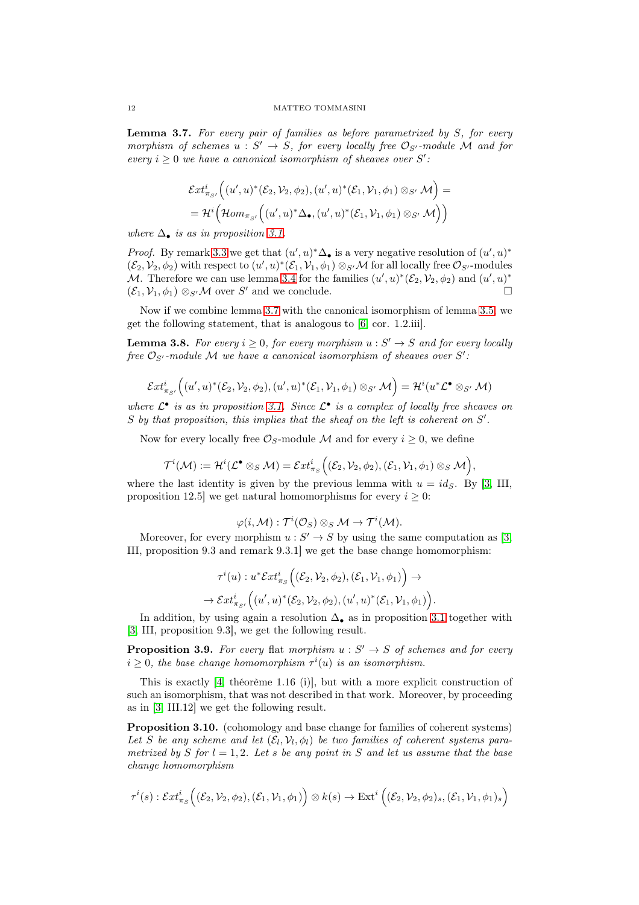<span id="page-11-0"></span>**Lemma 3.7.** For every pair of families as before parametrized by  $S$ , for every morphism of schemes  $u : S' \to S$ , for every locally free  $\mathcal{O}_{S'}$ -module M and for every  $i \geq 0$  we have a canonical isomorphism of sheaves over S':

$$
\mathcal{E}xt^i_{\pi_{S'}}\Big((u',u)^*(\mathcal{E}_2,\mathcal{V}_2,\phi_2),(u',u)^*(\mathcal{E}_1,\mathcal{V}_1,\phi_1)\otimes_{S'}\mathcal{M}\Big)=\\=\mathcal{H}^i\Big(\mathcal{H}om_{\pi_{S'}}\Big((u',u)^*\Delta_{\bullet},(u',u)^*(\mathcal{E}_1,\mathcal{V}_1,\phi_1)\otimes_{S'}\mathcal{M}\Big)\Big)
$$

where  $\Delta_{\bullet}$  is as in proposition [3.1.](#page-8-0)

*Proof.* By remark [3.3](#page-8-2) we get that  $(u', u)^* \Delta_{\bullet}$  is a very negative resolution of  $(u', u)^*$  $(\mathcal{E}_2, \mathcal{V}_2, \phi_2)$  with respect to  $(u', u)^*(\mathcal{E}_1, \mathcal{V}_1, \phi_1) \otimes_{S'} \mathcal{M}$  for all locally free  $\mathcal{O}_{S'}$ -modules M. Therefore we can use lemma [3.4](#page-8-3) for the families  $(u', u)^*(\mathcal{E}_2, \mathcal{V}_2, \phi_2)$  and  $(u', u)^*$  $(\mathcal{E}_1, \mathcal{V}_1, \phi_1) \otimes_{S'} \mathcal{M}$  over S' and we conclude.

Now if we combine lemma [3.7](#page-11-0) with the canonical isomorphism of lemma [3.5,](#page-8-4) we get the following statement, that is analogous to [\[6,](#page-28-2) cor. 1.2.iii].

**Lemma 3.8.** For every  $i \geq 0$ , for every morphism  $u : S' \to S$  and for every locally free  $\mathcal{O}_{S'}$ -module M we have a canonical isomorphism of sheaves over S':

$$
\mathcal{E}xt^i_{\pi_{S'}}\Big((u',u)^*(\mathcal{E}_2,\mathcal{V}_2,\phi_2),(u',u)^*(\mathcal{E}_1,\mathcal{V}_1,\phi_1)\otimes_{S'}\mathcal{M}\Big)=\mathcal{H}^i(u^*\mathcal{L}^\bullet\otimes_{S'}\mathcal{M})
$$

where  $\mathcal{L}^{\bullet}$  is as in proposition [3.1.](#page-8-0) Since  $\mathcal{L}^{\bullet}$  is a complex of locally free sheaves on  $S$  by that proposition, this implies that the sheaf on the left is coherent on  $S'$ .

Now for every locally free  $\mathcal{O}_S$ -module M and for every  $i \geq 0$ , we define

$$
\mathcal{T}^i(\mathcal{M}):=\mathcal{H}^i(\mathcal{L}^\bullet\otimes_S \mathcal{M})=\mathcal{E}xt^i_{\pi_S}\Big((\mathcal{E}_2,\mathcal{V}_2,\phi_2),(\mathcal{E}_1,\mathcal{V}_1,\phi_1)\otimes_S \mathcal{M}\Big),
$$

where the last identity is given by the previous lemma with  $u = id_S$ . By [\[3,](#page-28-7) III, proposition 12.5] we get natural homomorphisms for every  $i \geq 0$ :

$$
\varphi(i,\mathcal{M}): \mathcal{T}^i(\mathcal{O}_S) \otimes_S \mathcal{M} \to \mathcal{T}^i(\mathcal{M}).
$$

Moreover, for every morphism  $u : S' \to S$  by using the same computation as [\[3,](#page-28-7) III, proposition 9.3 and remark 9.3.1] we get the base change homomorphism:

$$
\tau^i(u): u^* \mathcal{E}xt^i_{\pi_S}\Big((\mathcal{E}_2,\mathcal{V}_2,\phi_2),(\mathcal{E}_1,\mathcal{V}_1,\phi_1)\Big) \to \rightarrow \mathcal{E}xt^i_{\pi_{S'}}\Big((u',u)^*(\mathcal{E}_2,\mathcal{V}_2,\phi_2),(u',u)^*(\mathcal{E}_1,\mathcal{V}_1,\phi_1)\Big).
$$

In addition, by using again a resolution  $\Delta_{\bullet}$  as in proposition [3.1](#page-8-0) together with [\[3,](#page-28-7) III, proposition 9.3], we get the following result.

**Proposition 3.9.** For every flat morphism  $u : S' \to S$  of schemes and for every  $i \geq 0$ , the base change homomorphism  $\tau^{i}(u)$  is an isomorphism.

This is exactly [\[4,](#page-28-6) théorème 1.16 (i)], but with a more explicit construction of such an isomorphism, that was not described in that work. Moreover, by proceeding as in [\[3,](#page-28-7) III.12] we get the following result.

<span id="page-11-1"></span>Proposition 3.10. (cohomology and base change for families of coherent systems) Let S be any scheme and let  $(\mathcal{E}_l, \mathcal{V}_l, \phi_l)$  be two families of coherent systems parametrized by S for  $l = 1, 2$ . Let s be any point in S and let us assume that the base change homomorphism

$$
\tau^i(s): \mathcal{E}xt^i_{\pi_S}\Big((\mathcal{E}_2,\mathcal{V}_2,\phi_2),(\mathcal{E}_1,\mathcal{V}_1,\phi_1)\Big)\otimes k(s)\rightarrow \mathrm{Ext}^i\left((\mathcal{E}_2,\mathcal{V}_2,\phi_2)_s,(\mathcal{E}_1,\mathcal{V}_1,\phi_1)_s\right)
$$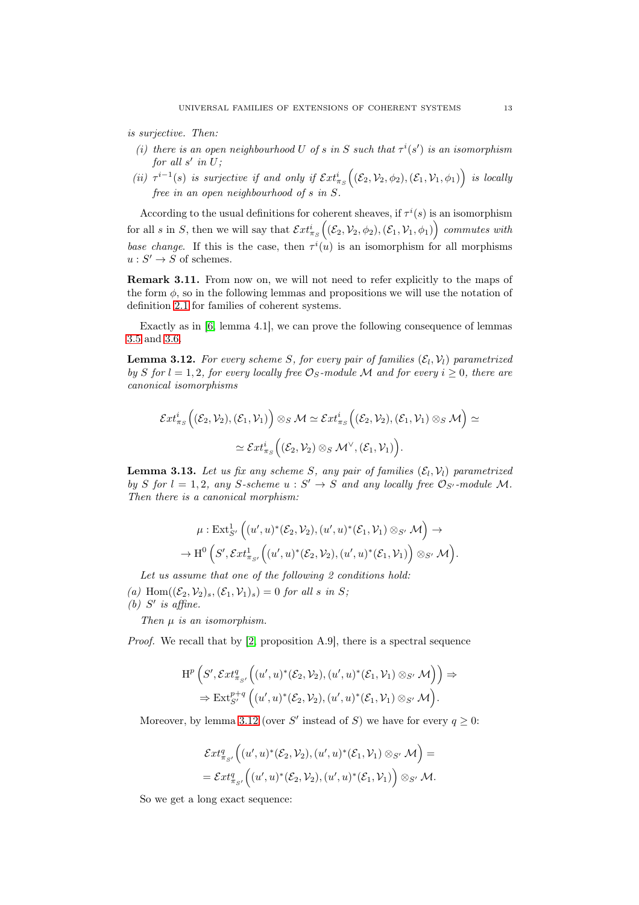is surjective. Then:

- (i) there is an open neighbourhood U of s in S such that  $\tau^{i}(s')$  is an isomorphism for all  $s'$  in  $U$ ;
- (ii)  $\tau^{i-1}(s)$  is surjective if and only if  $\mathcal{E}xt^i_{\pi_S}((\mathcal{E}_2,\mathcal{V}_2,\phi_2),(\mathcal{E}_1,\mathcal{V}_1,\phi_1))$  is locally free in an open neighbourhood of s in S.

According to the usual definitions for coherent sheaves, if  $\tau^{i}(s)$  is an isomorphism for all s in S, then we will say that  $\mathcal{E}xt^i_{\pi_S}$  $((\mathcal{E}_2, \mathcal{V}_2, \phi_2), (\mathcal{E}_1, \mathcal{V}_1, \phi_1))$  commutes with base change. If this is the case, then  $\tau^{i}(u)$  is an isomorphism for all morphisms  $u: S' \to S$  of schemes.

Remark 3.11. From now on, we will not need to refer explicitly to the maps of the form  $\phi$ , so in the following lemmas and propositions we will use the notation of definition [2.1](#page-2-0) for families of coherent systems.

Exactly as in [\[6,](#page-28-2) lemma 4.1], we can prove the following consequence of lemmas [3.5](#page-8-4) and [3.6.](#page-10-1)

<span id="page-12-0"></span>**Lemma 3.12.** For every scheme S, for every pair of families  $(\mathcal{E}_l, \mathcal{V}_l)$  parametrized by S for  $l = 1, 2$ , for every locally free  $\mathcal{O}_S$ -module M and for every  $i \geq 0$ , there are canonical isomorphisms

$$
\mathcal{E}xt^i_{\pi_S}\Big((\mathcal{E}_2,\mathcal{V}_2),(\mathcal{E}_1,\mathcal{V}_1)\Big)\otimes_S \mathcal{M}\simeq \mathcal{E}xt^i_{\pi_S}\Big((\mathcal{E}_2,\mathcal{V}_2),(\mathcal{E}_1,\mathcal{V}_1)\otimes_S \mathcal{M}\Big)\simeq\\ \simeq \mathcal{E}xt^i_{\pi_S}\Big((\mathcal{E}_2,\mathcal{V}_2)\otimes_S \mathcal{M}^\vee,(\mathcal{E}_1,\mathcal{V}_1)\Big).
$$

<span id="page-12-1"></span>**Lemma 3.13.** Let us fix any scheme S, any pair of families  $(\mathcal{E}_l, \mathcal{V}_l)$  parametrized by S for  $l = 1, 2$ , any S-scheme  $u : S' \to S$  and any locally free  $\mathcal{O}_{S'}$ -module M. Then there is a canonical morphism:

$$
\mu: \operatorname{Ext}_{S'}^1\Big((u',u)^*(\mathcal{E}_2,\mathcal{V}_2),(u',u)^*(\mathcal{E}_1,\mathcal{V}_1)\otimes_{S'}\mathcal{M}\Big) \to \rightarrow \operatorname{H}^0\Big(S',\mathcal{E}xt^1_{\pi_{S'}}\Big((u',u)^*(\mathcal{E}_2,\mathcal{V}_2),(u',u)^*(\mathcal{E}_1,\mathcal{V}_1)\Big)\otimes_{S'}\mathcal{M}\Big).
$$

Let us assume that one of the following 2 conditions hold:

(a) Hom $((\mathcal{E}_2, \mathcal{V}_2)_s, (\mathcal{E}_1, \mathcal{V}_1)_s) = 0$  for all s in S; (b)  $S'$  is affine.

Then  $\mu$  is an isomorphism.

Proof. We recall that by [\[2,](#page-28-4) proposition A.9], there is a spectral sequence

$$
\begin{aligned} \mathrm{H}^p\left(S',\mathcal{E}xt^q_{\pi_{S'}}\Big((u',u)^*(\mathcal{E}_2,\mathcal{V}_2),(u',u)^*(\mathcal{E}_1,\mathcal{V}_1)\otimes_{S'}\mathcal{M}\Big)\right) &\Rightarrow\\ &\Rightarrow\mathrm{Ext}^{p+q}_{S'}\left((u',u)^*(\mathcal{E}_2,\mathcal{V}_2),(u',u)^*(\mathcal{E}_1,\mathcal{V}_1)\otimes_{S'}\mathcal{M}\right). \end{aligned}
$$

Moreover, by lemma [3.12](#page-12-0) (over S' instead of S) we have for every  $q \geq 0$ :

$$
\mathcal{E}xt^q_{\pi_{S'}}\Big((u',u)^*(\mathcal{E}_2,\mathcal{V}_2),(u',u)^*(\mathcal{E}_1,\mathcal{V}_1)\otimes_{S'}\mathcal{M}\Big)=\\=\mathcal{E}xt^q_{\pi_{S'}}\Big((u',u)^*(\mathcal{E}_2,\mathcal{V}_2),(u',u)^*(\mathcal{E}_1,\mathcal{V}_1)\Big)\otimes_{S'}\mathcal{M}.
$$

So we get a long exact sequence: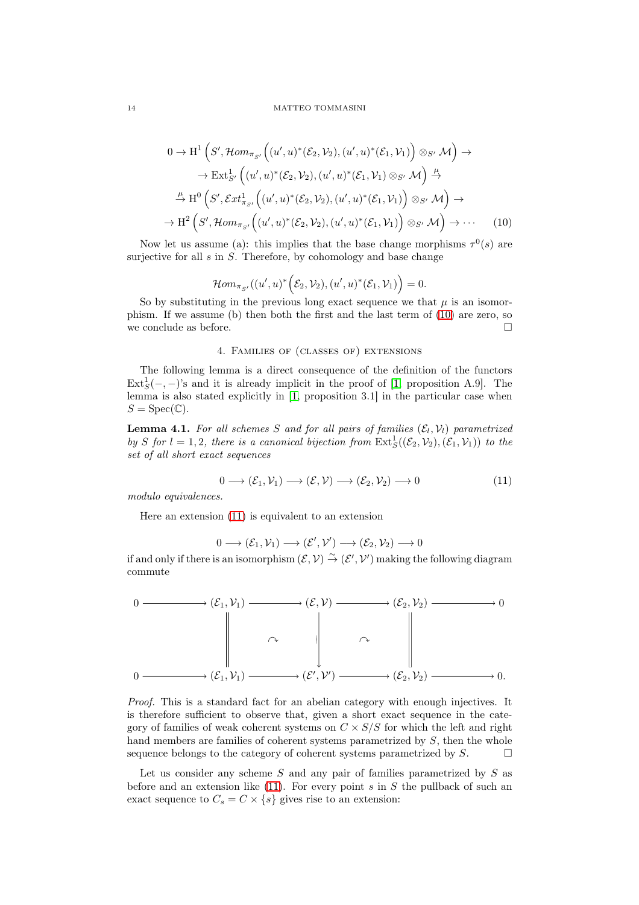<span id="page-13-0"></span>
$$
0 \to H^{1}\left(S',\mathcal{H}om_{\pi_{S'}}\Big((u',u)^{*}(\mathcal{E}_{2},\mathcal{V}_{2}),(u',u)^{*}(\mathcal{E}_{1},\mathcal{V}_{1})\Big) \otimes_{S'} \mathcal{M}\right) \to
$$
  

$$
\to \operatorname{Ext}_{S'}^{1}\left((u',u)^{*}(\mathcal{E}_{2},\mathcal{V}_{2}),(u',u)^{*}(\mathcal{E}_{1},\mathcal{V}_{1}) \otimes_{S'} \mathcal{M}\right) \xrightarrow{\mu}
$$
  

$$
\xrightarrow{\mu} H^{0}\left(S',\mathcal{E}xt_{\pi_{S'}}^{1}\Big((u',u)^{*}(\mathcal{E}_{2},\mathcal{V}_{2}),(u',u)^{*}(\mathcal{E}_{1},\mathcal{V}_{1})\Big) \otimes_{S'} \mathcal{M}\right) \to
$$
  

$$
\to H^{2}\left(S',\mathcal{H}om_{\pi_{S'}}\Big((u',u)^{*}(\mathcal{E}_{2},\mathcal{V}_{2}),(u',u)^{*}(\mathcal{E}_{1},\mathcal{V}_{1})\Big) \otimes_{S'} \mathcal{M}\right) \to \cdots
$$
 (10)

Now let us assume (a): this implies that the base change morphisms  $\tau^{0}(s)$  are surjective for all  $s$  in  $S$ . Therefore, by cohomology and base change

$$
\mathcal{H}om_{\pi_{S'}}((u',u)^*\Big(\mathcal{E}_2,\mathcal{V}_2),(u',u)^*(\mathcal{E}_1,\mathcal{V}_1)\Big)=0.
$$

So by substituting in the previous long exact sequence we that  $\mu$  is an isomorphism. If we assume (b) then both the first and the last term of [\(10\)](#page-13-0) are zero, so we conclude as before.  $\Box$ 

## 4. Families of (classes of) extensions

The following lemma is a direct consequence of the definition of the functors  $\text{Ext}_{S}^{1}(-, -)$ 's and it is already implicit in the proof of [\[1,](#page-28-1) proposition A.9]. The lemma is also stated explicitly in [\[1,](#page-28-1) proposition 3.1] in the particular case when  $S = \text{Spec}(\mathbb{C}).$ 

<span id="page-13-2"></span>**Lemma 4.1.** For all schemes S and for all pairs of families  $(\mathcal{E}_l, \mathcal{V}_l)$  parametrized by S for  $l = 1, 2$ , there is a canonical bijection from  $\text{Ext}^1_S((\mathcal{E}_2, \mathcal{V}_2), (\mathcal{E}_1, \mathcal{V}_1))$  to the set of all short exact sequences

<span id="page-13-1"></span>
$$
0 \longrightarrow (\mathcal{E}_1, \mathcal{V}_1) \longrightarrow (\mathcal{E}, \mathcal{V}) \longrightarrow (\mathcal{E}_2, \mathcal{V}_2) \longrightarrow 0 \tag{11}
$$

modulo equivalences.

Here an extension [\(11\)](#page-13-1) is equivalent to an extension

$$
0 \longrightarrow (\mathcal{E}_1, \mathcal{V}_1) \longrightarrow (\mathcal{E}', \mathcal{V}') \longrightarrow (\mathcal{E}_2, \mathcal{V}_2) \longrightarrow 0
$$

if and only if there is an isomorphism  $(\mathcal{E}, \mathcal{V}) \overset{\sim}{\to} (\mathcal{E}', \mathcal{V}')$  making the following diagram commute



Proof. This is a standard fact for an abelian category with enough injectives. It is therefore sufficient to observe that, given a short exact sequence in the category of families of weak coherent systems on  $C \times S/S$  for which the left and right hand members are families of coherent systems parametrized by S, then the whole sequence belongs to the category of coherent systems parametrized by  $S$ .

Let us consider any scheme  $S$  and any pair of families parametrized by  $S$  as before and an extension like  $(11)$ . For every point s in S the pullback of such an exact sequence to  $C_s = C \times \{s\}$  gives rise to an extension: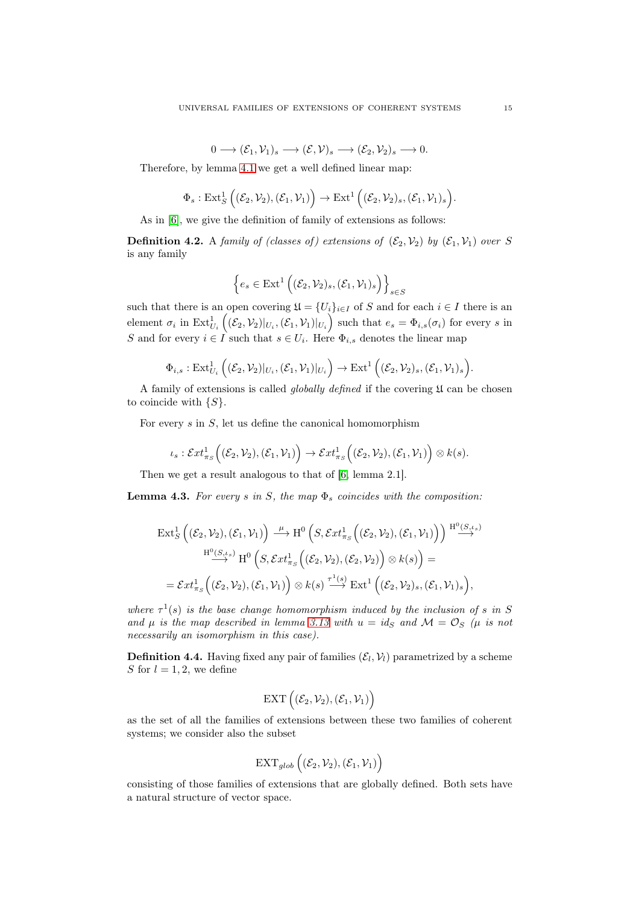$0 \longrightarrow (\mathcal{E}_1, \mathcal{V}_1)_s \longrightarrow (\mathcal{E}, \mathcal{V})_s \longrightarrow (\mathcal{E}_2, \mathcal{V}_2)_s \longrightarrow 0.$ 

Therefore, by lemma [4.1](#page-13-2) we get a well defined linear map:

$$
\Phi_s: \mathrm{Ext}^1_S\left((\mathcal{E}_2, \mathcal{V}_2), (\mathcal{E}_1, \mathcal{V}_1)\right) \to \mathrm{Ext}^1\left((\mathcal{E}_2, \mathcal{V}_2)_s, (\mathcal{E}_1, \mathcal{V}_1)_s\right).
$$

As in [\[6\]](#page-28-2), we give the definition of family of extensions as follows:

**Definition 4.2.** A family of (classes of) extensions of  $(\mathcal{E}_2, \mathcal{V}_2)$  by  $(\mathcal{E}_1, \mathcal{V}_1)$  over S is any family

$$
\left\{ e_s \in \text{Ext}^1\left( (\mathcal{E}_2, \mathcal{V}_2)_s, (\mathcal{E}_1, \mathcal{V}_1)_s \right) \right\}_{s \in S}
$$

such that there is an open covering  $\mathfrak{U} = \{U_i\}_{i \in I}$  of S and for each  $i \in I$  there is an element  $\sigma_i$  in  $\mathrm{Ext}^1_{U_i}$  $((\mathcal{E}_2, \mathcal{V}_2)|_{U_i}, (\mathcal{E}_1, \mathcal{V}_1)|_{U_i})$  such that  $e_s = \Phi_{i,s}(\sigma_i)$  for every s in S and for every  $i \in I$  such that  $s \in U_i$ . Here  $\Phi_{i,s}$  denotes the linear map

$$
\Phi_{i,s}: \mathrm{Ext}^1_{U_i}\left( (\mathcal{E}_2, \mathcal{V}_2)|_{U_i}, (\mathcal{E}_1, \mathcal{V}_1)|_{U_i} \right) \to \mathrm{Ext}^1\left( (\mathcal{E}_2, \mathcal{V}_2)_s, (\mathcal{E}_1, \mathcal{V}_1)_s \right).
$$

A family of extensions is called *globally defined* if the covering  $\mathfrak U$  can be chosen to coincide with  $\{S\}.$ 

For every  $s$  in  $S$ , let us define the canonical homomorphism

$$
\iota_s: \mathcal{E}xt^1_{\pi_S}\Big((\mathcal{E}_2,\mathcal{V}_2),(\mathcal{E}_1,\mathcal{V}_1)\Big) \to \mathcal{E}xt^1_{\pi_S}\Big((\mathcal{E}_2,\mathcal{V}_2),(\mathcal{E}_1,\mathcal{V}_1)\Big) \otimes k(s).
$$

Then we get a result analogous to that of [\[6,](#page-28-2) lemma 2.1].

<span id="page-14-0"></span>**Lemma 4.3.** For every s in S, the map  $\Phi_s$  coincides with the composition:

$$
\operatorname{Ext}_{S}^{1}\left((\mathcal{E}_{2},\mathcal{V}_{2}),(\mathcal{E}_{1},\mathcal{V}_{1})\right) \stackrel{\mu}{\longrightarrow} \mathrm{H}^{0}\left(S,\mathcal{E}xt_{\pi_{S}}^{1}\left((\mathcal{E}_{2},\mathcal{V}_{2}),(\mathcal{E}_{1},\mathcal{V}_{1})\right)\right) \stackrel{\mathrm{H}^{0}(S,\iota_{s})}{\longrightarrow} \mathrm{H}^{0}\left(S,\mathcal{E}xt_{\pi_{S}}^{1}\left((\mathcal{E}_{2},\mathcal{V}_{2}),(\mathcal{E}_{2},\mathcal{V}_{2})\right)\otimes k(s)\right) =
$$
  

$$
= \mathcal{E}xt_{\pi_{S}}^{1}\left((\mathcal{E}_{2},\mathcal{V}_{2}),(\mathcal{E}_{1},\mathcal{V}_{1})\right)\otimes k(s) \stackrel{\tau^{1}(s)}{\longrightarrow} \operatorname{Ext}^{1}\left((\mathcal{E}_{2},\mathcal{V}_{2})_{s},(\mathcal{E}_{1},\mathcal{V}_{1})_{s}\right),
$$

where  $\tau^1(s)$  is the base change homomorphism induced by the inclusion of s in S and  $\mu$  is the map described in lemma [3.13](#page-12-1) with  $u = id_S$  and  $\mathcal{M} = \mathcal{O}_S$  ( $\mu$  is not necessarily an isomorphism in this case).

**Definition 4.4.** Having fixed any pair of families  $(\mathcal{E}_l, \mathcal{V}_l)$  parametrized by a scheme S for  $l = 1, 2$ , we define

$$
\operatorname{EXT}\left((\mathcal{E}_2,\mathcal{V}_2),(\mathcal{E}_1,\mathcal{V}_1)\right)
$$

as the set of all the families of extensions between these two families of coherent systems; we consider also the subset

$$
\operatorname{EXT}_{glob}\Big((\mathcal{E}_2,\mathcal{V}_2),(\mathcal{E}_1,\mathcal{V}_1)\Big)
$$

consisting of those families of extensions that are globally defined. Both sets have a natural structure of vector space.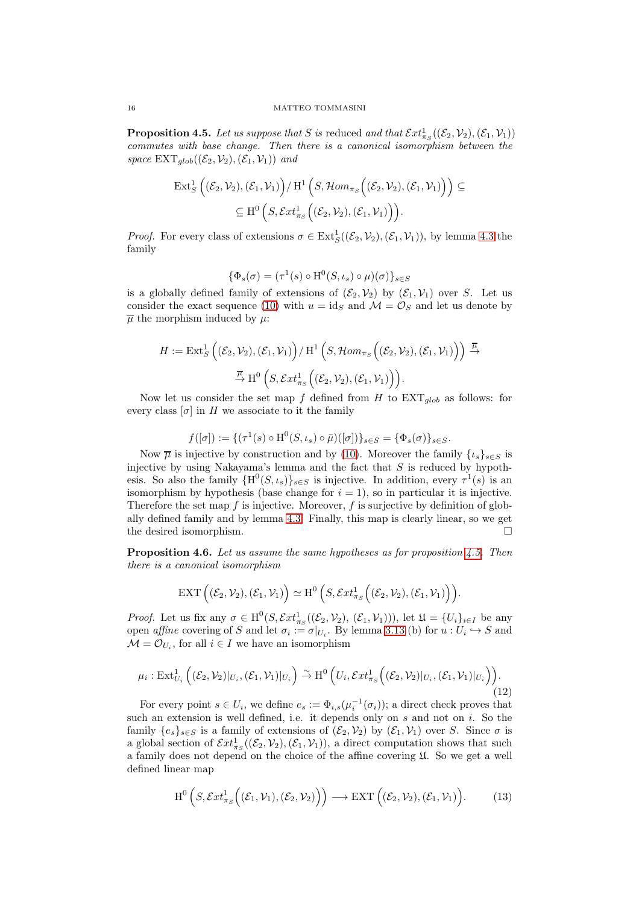<span id="page-15-0"></span>**Proposition 4.5.** Let us suppose that S is reduced and that  $\mathcal{E}xt^1_{\pi_S}((\mathcal{E}_2,\mathcal{V}_2),(\mathcal{E}_1,\mathcal{V}_1))$ commutes with base change. Then there is a canonical isomorphism between the space  $\text{EXT}_{\text{alob}}((\mathcal{E}_2, \mathcal{V}_2),(\mathcal{E}_1, \mathcal{V}_1))$  and

$$
\begin{aligned} \operatorname{Ext}^1_S\Big((\mathcal{E}_2,\mathcal{V}_2),(\mathcal{E}_1,\mathcal{V}_1)\Big)/\operatorname{H}^1\Big(S,\mathcal{H}om_{\pi_S}\Big((\mathcal{E}_2,\mathcal{V}_2),(\mathcal{E}_1,\mathcal{V}_1)\Big)\Big) &\subseteq\\ &\subseteq \operatorname{H}^0\Big(S,\mathcal{E}xt^1_{\pi_S}\Big((\mathcal{E}_2,\mathcal{V}_2),(\mathcal{E}_1,\mathcal{V}_1)\Big)\Big).\end{aligned}
$$

*Proof.* For every class of extensions  $\sigma \in \text{Ext}^1_S((\mathcal{E}_2, \mathcal{V}_2), (\mathcal{E}_1, \mathcal{V}_1)),$  by lemma [4.3](#page-14-0) the family

$$
\{\Phi_s(\sigma) = (\tau^1(s) \circ \mathrm{H}^0(S, \iota_s) \circ \mu)(\sigma)\}_{s \in S}
$$

is a globally defined family of extensions of  $(\mathcal{E}_2, \mathcal{V}_2)$  by  $(\mathcal{E}_1, \mathcal{V}_1)$  over S. Let us consider the exact sequence [\(10\)](#page-13-0) with  $u = id_S$  and  $\mathcal{M} = \mathcal{O}_S$  and let us denote by  $\overline{\mu}$  the morphism induced by  $\mu$ :

$$
H := \mathrm{Ext}^1_S \left( (\mathcal{E}_2, \mathcal{V}_2), (\mathcal{E}_1, \mathcal{V}_1) \right) / \mathrm{H}^1 \left( S, \mathcal{H}om_{\pi_S} \left( (\mathcal{E}_2, \mathcal{V}_2), (\mathcal{E}_1, \mathcal{V}_1) \right) \right) \xrightarrow{\overline{\mu}} \xrightarrow{\overline{\mu}} \mathrm{H}^0 \left( S, \mathcal{E}xt^1_{\pi_S} \left( (\mathcal{E}_2, \mathcal{V}_2), (\mathcal{E}_1, \mathcal{V}_1) \right) \right).
$$

Now let us consider the set map f defined from H to  $\text{EXT}_{glob}$  as follows: for every class  $[\sigma]$  in H we associate to it the family

$$
f([\sigma]):=\{(\tau^1(s)\circ {\rm H}^0(S,\iota_s)\circ \bar\mu)([\sigma])\}_{s\in S}=\{\Phi_s(\sigma)\}_{s\in S}.
$$

Now  $\overline{\mu}$  is injective by construction and by [\(10\)](#page-13-0). Moreover the family  $\{t_s\}_{s\in S}$  is injective by using Nakayama's lemma and the fact that  $S$  is reduced by hypothesis. So also the family  $\{H^0(S, \iota_s)\}_{s\in S}$  is injective. In addition, every  $\tau^1(s)$  is an isomorphism by hypothesis (base change for  $i = 1$ ), so in particular it is injective. Therefore the set map  $f$  is injective. Moreover,  $f$  is surjective by definition of globally defined family and by lemma [4.3.](#page-14-0) Finally, this map is clearly linear, so we get the desired isomorphism.

<span id="page-15-3"></span>**Proposition 4.6.** Let us assume the same hypotheses as for proposition  $\ddagger$ .5. Then there is a canonical isomorphism

$$
\operatorname{EXT}\Big((\mathcal{E}_2,\mathcal{V}_2),(\mathcal{E}_1,\mathcal{V}_1)\Big)\simeq \operatorname{H}^0\Big(S,\mathcal{E}xt^1_{\pi_S}\Big((\mathcal{E}_2,\mathcal{V}_2),(\mathcal{E}_1,\mathcal{V}_1)\Big)\Big).
$$

*Proof.* Let us fix any  $\sigma \in H^0(S, \mathcal{E}xt^1_{\pi_S}((\mathcal{E}_2, \mathcal{V}_2), (\mathcal{E}_1, \mathcal{V}_1))),$  let  $\mathfrak{U} = \{U_i\}_{i \in I}$  be any open *affine* covering of S and let  $\sigma_i := \sigma|_{U_i}$ . By lemma [3.13](#page-12-1) (b) for  $u: U_i \hookrightarrow S$  and  $\mathcal{M} = \mathcal{O}_{U_i}$ , for all  $i \in I$  we have an isomorphism

<span id="page-15-1"></span>
$$
\mu_i: \mathrm{Ext}^1_{U_i}\left( (\mathcal{E}_2, \mathcal{V}_2)|_{U_i}, (\mathcal{E}_1, \mathcal{V}_1)|_{U_i} \right) \stackrel{\sim}{\to} \mathrm{H}^0\left( U_i, \mathcal{E}xt^1_{\pi_S}\left( (\mathcal{E}_2, \mathcal{V}_2)|_{U_i}, (\mathcal{E}_1, \mathcal{V}_1)|_{U_i} \right) \right).
$$
\n(12)

For every point  $s \in U_i$ , we define  $e_s := \Phi_{i,s}(\mu_i^{-1}(\sigma_i))$ ; a direct check proves that such an extension is well defined, i.e. it depends only on  $s$  and not on  $i$ . So the family  $\{e_s\}_{s\in S}$  is a family of extensions of  $(\mathcal{E}_2, \mathcal{V}_2)$  by  $(\mathcal{E}_1, \mathcal{V}_1)$  over S. Since  $\sigma$  is a global section of  $\mathcal{E}xt^1_{\pi_S}((\mathcal{E}_2,\mathcal{V}_2),(\mathcal{E}_1,\mathcal{V}_1)),$  a direct computation shows that such a family does not depend on the choice of the affine covering U. So we get a well defined linear map

<span id="page-15-2"></span>
$$
H^{0}\left(S, \mathcal{E}xt^{1}_{\pi_{S}}\Big((\mathcal{E}_{1}, \mathcal{V}_{1}), (\mathcal{E}_{2}, \mathcal{V}_{2})\Big)\right) \longrightarrow \operatorname{EXT}\left((\mathcal{E}_{2}, \mathcal{V}_{2}), (\mathcal{E}_{1}, \mathcal{V}_{1})\right).
$$
 (13)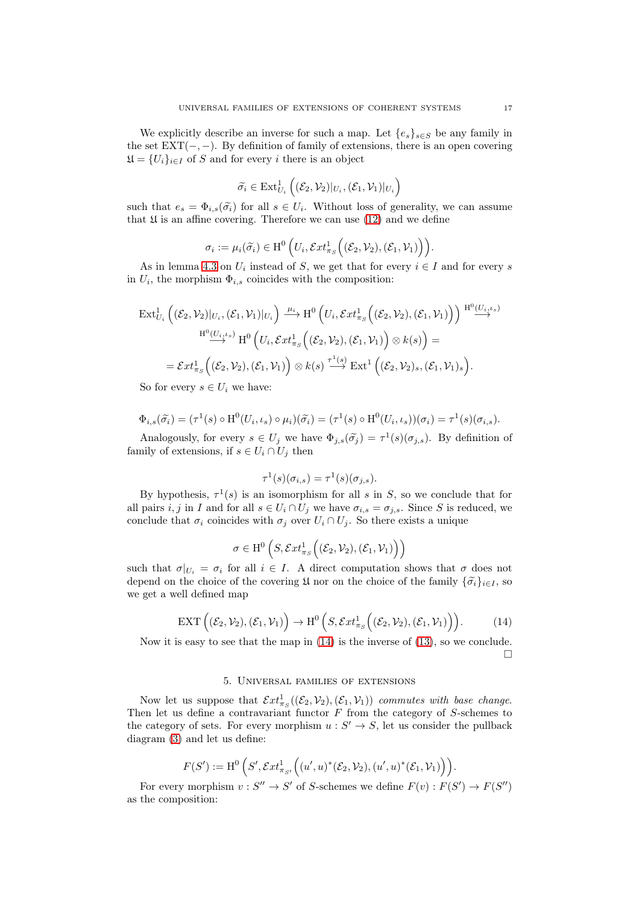We explicitly describe an inverse for such a map. Let  $\{e_s\}_{s\in S}$  be any family in the set  $EXT(-,-)$ . By definition of family of extensions, there is an open covering  $\mathfrak{U} = \{U_i\}_{i \in I}$  of S and for every i there is an object

$$
\widetilde{\sigma_i} \in \mathrm{Ext}^1_{U_i}\left( (\mathcal{E}_2, \mathcal{V}_2)|_{U_i}, (\mathcal{E}_1, \mathcal{V}_1)|_{U_i} \right)
$$

such that  $e_s = \Phi_{i,s}(\tilde{\sigma}_i)$  for all  $s \in U_i$ . Without loss of generality, we can assume that  $\mathfrak U$  is an affine covering. Therefore we can use [\(12\)](#page-15-1) and we define

$$
\sigma_i := \mu_i(\widetilde{\sigma_i}) \in \mathrm{H}^0\left(U_i, \mathcal{E}xt^1_{\pi_S}\Big((\mathcal{E}_2, \mathcal{V}_2), (\mathcal{E}_1, \mathcal{V}_1)\Big)\right).
$$

As in lemma [4.3](#page-14-0) on  $U_i$  instead of S, we get that for every  $i \in I$  and for every s in  $U_i$ , the morphism  $\Phi_{i,s}$  coincides with the composition:

$$
\mathrm{Ext}^1_{U_i}\left((\mathcal{E}_2,\mathcal{V}_2)|_{U_i},(\mathcal{E}_1,\mathcal{V}_1)|_{U_i}\right) \xrightarrow{\mu_i} \mathrm{H}^0\left(U_i,\mathcal{E}xt^1_{\pi_S}\left((\mathcal{E}_2,\mathcal{V}_2),(\mathcal{E}_1,\mathcal{V}_1)\right)\right) \xrightarrow{\mathrm{H}^0(U_i,\iota_s)}
$$

$$
\xrightarrow{\mathrm{H}^0(U_i,\iota_s)} \mathrm{H}^0\left(U_i,\mathcal{E}xt^1_{\pi_S}\left((\mathcal{E}_2,\mathcal{V}_2),(\mathcal{E}_1,\mathcal{V}_1)\right)\otimes k(s)\right) =
$$

$$
= \mathcal{E}xt^1_{\pi_S}\left((\mathcal{E}_2,\mathcal{V}_2),(\mathcal{E}_1,\mathcal{V}_1)\right)\otimes k(s) \xrightarrow{\tau^1(s)} \mathrm{Ext}^1\left((\mathcal{E}_2,\mathcal{V}_2)_s,(\mathcal{E}_1,\mathcal{V}_1)_s\right).
$$

So for every  $s \in U_i$  we have:

$$
\Phi_{i,s}(\widetilde{\sigma}_i) = (\tau^1(s) \circ \mathrm{H}^0(U_i,\iota_s) \circ \mu_i)(\widetilde{\sigma}_i) = (\tau^1(s) \circ \mathrm{H}^0(U_i,\iota_s))(\sigma_i) = \tau^1(s)(\sigma_{i,s}).
$$

Analogously, for every  $s \in U_j$  we have  $\Phi_{j,s}(\tilde{\sigma}_j) = \tau^1(s)(\sigma_{j,s})$ . By definition of family of extensions, if  $s \in U_i \cap U_j$  then

$$
\tau^1(s)(\sigma_{i,s}) = \tau^1(s)(\sigma_{j,s}).
$$

By hypothesis,  $\tau^1(s)$  is an isomorphism for all s in S, so we conclude that for all pairs i, j in I and for all  $s \in U_i \cap U_j$  we have  $\sigma_{i,s} = \sigma_{j,s}$ . Since S is reduced, we conclude that  $\sigma_i$  coincides with  $\sigma_j$  over  $U_i \cap U_j$ . So there exists a unique

$$
\sigma \in H^0\left(S, \mathcal{E}xt^1_{\pi_S}\Big((\mathcal{E}_2, \mathcal{V}_2), (\mathcal{E}_1, \mathcal{V}_1)\Big)\right)
$$

such that  $\sigma|_{U_i} = \sigma_i$  for all  $i \in I$ . A direct computation shows that  $\sigma$  does not depend on the choice of the covering  $\mathfrak U$  nor on the choice of the family  $\{\tilde{\sigma}_i\}_{i\in I}$ , so we get a well defined map

<span id="page-16-0"></span>
$$
\operatorname{EXT}\left((\mathcal{E}_2,\mathcal{V}_2),(\mathcal{E}_1,\mathcal{V}_1)\right)\to \operatorname{H}^0\left(S,\mathcal{E}xt^1_{\pi_S}\Big((\mathcal{E}_2,\mathcal{V}_2),(\mathcal{E}_1,\mathcal{V}_1)\Big)\right).
$$
 (14)

Now it is easy to see that the map in [\(14\)](#page-16-0) is the inverse of [\(13\)](#page-15-2), so we conclude.  $\Box$ 

## 5. Universal families of extensions

Now let us suppose that  $\mathcal{E}xt^1_{\pi_S}((\mathcal{E}_2, \mathcal{V}_2), (\mathcal{E}_1, \mathcal{V}_1))$  commutes with base change. Then let us define a contravariant functor  $F$  from the category of  $S$ -schemes to the category of sets. For every morphism  $u : S' \to S$ , let us consider the pullback diagram [\(3\)](#page-4-1) and let us define:

$$
F(S') := \mathrm{H}^0\left(S', \mathcal Ext^1_{\pi_{S'}}\Big((u', u)^*(\mathcal E_2, \mathcal V_2), (u', u)^*(\mathcal E_1, \mathcal V_1)\Big)\right).
$$

For every morphism  $v: S'' \to S'$  of S-schemes we define  $F(v): F(S') \to F(S'')$ as the composition: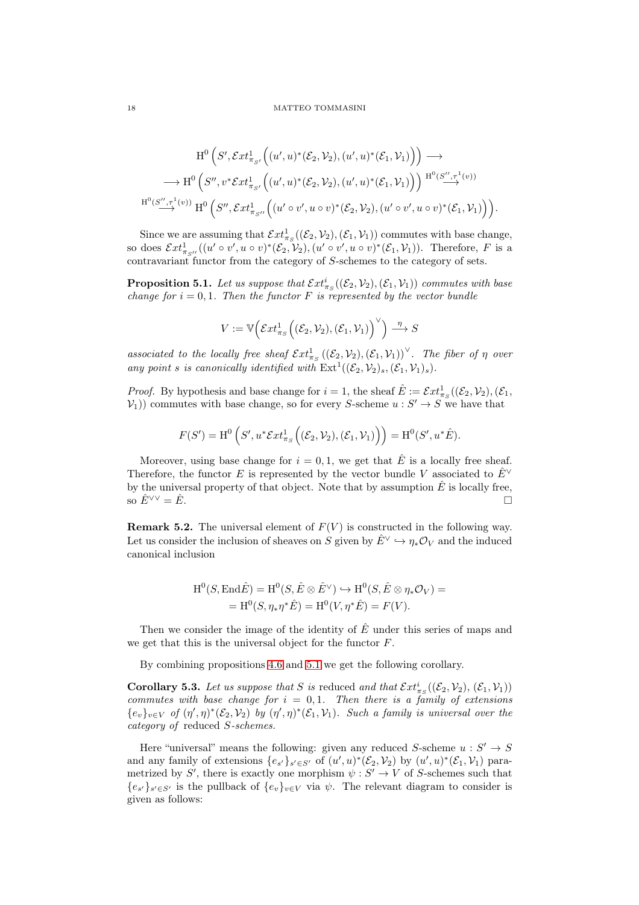$$
\mathrm{H}^{0}\left(S',\mathcal{E}xt^{1}_{\pi_{S'}}\left((u',u)^{*}(\mathcal{E}_{2},\mathcal{V}_{2}),(u',u)^{*}(\mathcal{E}_{1},\mathcal{V}_{1})\right)\right)\longrightarrow
$$
  

$$
\longrightarrow \mathrm{H}^{0}\left(S'',v^{*}\mathcal{E}xt^{1}_{\pi_{S'}}\left((u',u)^{*}(\mathcal{E}_{2},\mathcal{V}_{2}),(u',u)^{*}(\mathcal{E}_{1},\mathcal{V}_{1})\right)\right)\xrightarrow{\mathrm{H}^{0}(S'',\tau^{1}(v))}
$$
  

$$
\mathrm{H}^{0}(S'',\tau^{1}(v))\mathrm{H}^{0}\left(S'',\mathcal{E}xt^{1}_{\pi_{S''}}\left((u'\circ v',u\circ v)^{*}(\mathcal{E}_{2},\mathcal{V}_{2}),(u'\circ v',u\circ v)^{*}(\mathcal{E}_{1},\mathcal{V}_{1})\right)\right).
$$

Since we are assuming that  $\mathcal{E}xt^1_{\pi_S}((\mathcal{E}_2,\mathcal{V}_2),(\mathcal{E}_1,\mathcal{V}_1))$  commutes with base change, so does  $\mathcal{E}xt^1_{\pi_{S''}}((u'\circ v', u\circ v)^*(\mathcal{E}_2, \mathcal{V}_2), (u'\circ v', u\circ v)^*(\mathcal{E}_1, \mathcal{V}_1))$ . Therefore, F is a contravariant functor from the category of S-schemes to the category of sets.

<span id="page-17-0"></span>**Proposition 5.1.** Let us suppose that  $\mathcal{E}xt^i_{\pi_S}((\mathcal{E}_2,\mathcal{V}_2),(\mathcal{E}_1,\mathcal{V}_1))$  commutes with base change for  $i = 0, 1$ . Then the functor F is represented by the vector bundle

$$
V:=\mathbb{V}\Big(\mathcal{E}xt^1_{\pi_S}\Big((\mathcal{E}_2,\mathcal{V}_2),(\mathcal{E}_1,\mathcal{V}_1)\Big)^\vee\Big)\stackrel{\eta}{\longrightarrow}S
$$

associated to the locally free sheaf  $\mathcal{E}xt^1_{\pi_S}((\mathcal{E}_2,\mathcal{V}_2),(\mathcal{E}_1,\mathcal{V}_1))^\vee$ . The fiber of  $\eta$  over any point s is canonically identified with  $\text{Ext}^{1}((\mathcal{E}_{2}, \mathcal{V}_{2})_{s}, (\mathcal{E}_{1}, \mathcal{V}_{1})_{s}).$ 

*Proof.* By hypothesis and base change for  $i = 1$ , the sheaf  $\hat{E} := \mathcal{E}xt_{\pi_S}^1((\mathcal{E}_2, \mathcal{V}_2), (\mathcal{E}_1, \mathcal{V}_2))$  $(V_1)$  commutes with base change, so for every S-scheme  $u : S' \to S$  we have that

$$
F(S') = \mathrm{H}^0\left(S', u^* \mathcal{E}xt^1_{\pi_S}\Big((\mathcal{E}_2, \mathcal{V}_2), (\mathcal{E}_1, \mathcal{V}_1)\Big)\right) = \mathrm{H}^0(S', u^* \hat{E}).
$$

Moreover, using base change for  $i = 0, 1$ , we get that  $\hat{E}$  is a locally free sheaf. Therefore, the functor E is represented by the vector bundle V associated to  $E^{\vee}$ by the universal property of that object. Note that by assumption  $\hat{E}$  is locally free, so  $\hat{E}^{\vee\vee} = \hat{E}$ .

**Remark 5.2.** The universal element of  $F(V)$  is constructed in the following way. Let us consider the inclusion of sheaves on S given by  $\hat{E}^{\vee} \hookrightarrow \eta_* \mathcal{O}_V$  and the induced canonical inclusion

$$
H^{0}(S, \text{End}\hat{E}) = H^{0}(S, \hat{E} \otimes \hat{E}^{\vee}) \hookrightarrow H^{0}(S, \hat{E} \otimes \eta_{*}\mathcal{O}_{V}) =
$$
  
=  $H^{0}(S, \eta_{*}\eta^{*}\hat{E}) = H^{0}(V, \eta^{*}\hat{E}) = F(V).$ 

Then we consider the image of the identity of  $\hat{E}$  under this series of maps and we get that this is the universal object for the functor F.

By combining propositions [4.6](#page-15-3) and [5.1](#page-17-0) we get the following corollary.

<span id="page-17-1"></span>**Corollary 5.3.** Let us suppose that S is reduced and that  $\mathcal{E}xt^i_{\pi_S}((\mathcal{E}_2,\mathcal{V}_2), (\mathcal{E}_1,\mathcal{V}_1))$ commutes with base change for  $i = 0, 1$ . Then there is a family of extensions  ${e_v}_{v \in V}$  of  $(\eta', \eta)^*(\mathcal{E}_2, \mathcal{V}_2)$  by  $(\eta', \eta)^*(\mathcal{E}_1, \mathcal{V}_1)$ . Such a family is universal over the category of reduced S-schemes.

Here "universal" means the following: given any reduced S-scheme  $u : S' \to S$ and any family of extensions  $\{e_{s'}\}_{s' \in S'}$  of  $(u', u)^*(\mathcal{E}_2, \mathcal{V}_2)$  by  $(u', u)^*(\mathcal{E}_1, \mathcal{V}_1)$  parametrized by S', there is exactly one morphism  $\psi : S' \to V$  of S-schemes such that  $\{e_{s'}\}_{s' \in S'}$  is the pullback of  $\{e_{v}\}_{v \in V}$  via  $\psi$ . The relevant diagram to consider is given as follows: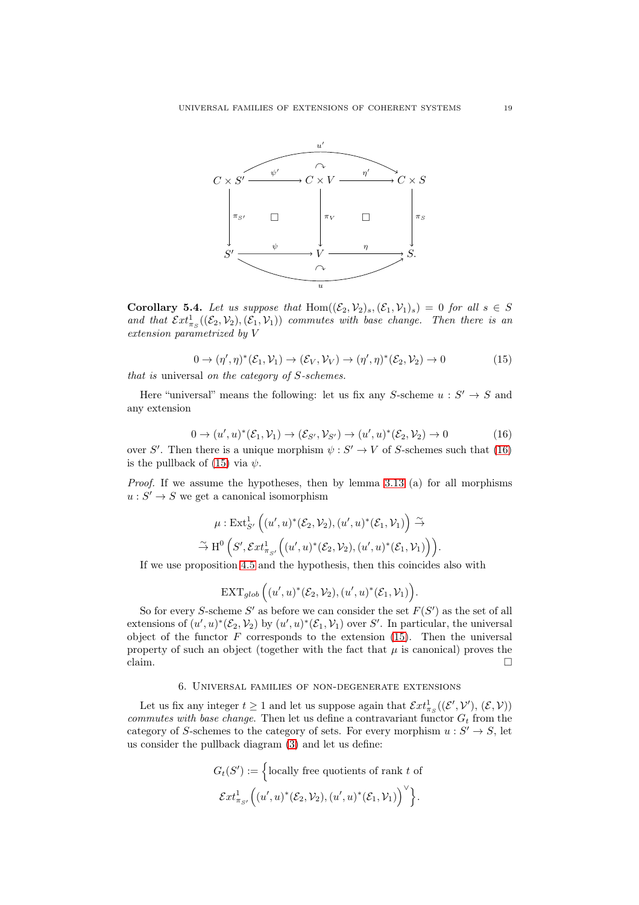

<span id="page-18-2"></span>Corollary 5.4. Let us suppose that  $Hom((\mathcal{E}_2, \mathcal{V}_2)_s, (\mathcal{E}_1, \mathcal{V}_1)_s) = 0$  for all  $s \in S$ and that  $\mathcal{E}xt^1_{\pi_S}((\mathcal{E}_2,\mathcal{V}_2),(\mathcal{E}_1,\mathcal{V}_1))$  commutes with base change. Then there is an extension parametrized by V

<span id="page-18-1"></span>
$$
0 \to (\eta', \eta)^* (\mathcal{E}_1, \mathcal{V}_1) \to (\mathcal{E}_V, \mathcal{V}_V) \to (\eta', \eta)^* (\mathcal{E}_2, \mathcal{V}_2) \to 0
$$
\nthat is universal on the category of S-schemes.

\n
$$
(15)
$$

Here "universal" means the following: let us fix any S-scheme  $u : S' \to S$  and any extension

<span id="page-18-0"></span>
$$
0 \to (u', u)^{*}(\mathcal{E}_{1}, \mathcal{V}_{1}) \to (\mathcal{E}_{S'}, \mathcal{V}_{S'}) \to (u', u)^{*}(\mathcal{E}_{2}, \mathcal{V}_{2}) \to 0
$$
\n(16)

over S'. Then there is a unique morphism  $\psi : S' \to V$  of S-schemes such that [\(16\)](#page-18-0) is the pullback of [\(15\)](#page-18-1) via  $\psi$ .

Proof. If we assume the hypotheses, then by lemma [3.13](#page-12-1) (a) for all morphisms  $u: S' \to S$  we get a canonical isomorphism

$$
\mu: \operatorname{Ext}^1_{S'} \left( (u',u)^*({\mathcal E}_2, {\mathcal V}_2), (u',u)^*({\mathcal E}_1, {\mathcal V}_1) \right) \stackrel{\sim}{\to}
$$
  

$$
\stackrel{\sim}{\to} \operatorname{H}^0 \left( S', \operatorname{\mathcal{E}}xt^1_{\pi_{S'}} \left( (u',u)^*({\mathcal E}_2, {\mathcal V}_2), (u',u)^*({\mathcal E}_1, {\mathcal V}_1) \right) \right).
$$

If we use proposition [4.5](#page-15-0) and the hypothesis, then this coincides also with

$$
\operatorname{EXT}_{glob}\Big((u',u)^*(\mathcal{E}_2,\mathcal{V}_2),(u',u)^*(\mathcal{E}_1,\mathcal{V}_1)\Big).
$$

So for every S-scheme S' as before we can consider the set  $F(S')$  as the set of all extensions of  $(u', u)^*(\mathcal{E}_2, \mathcal{V}_2)$  by  $(u', u)^*(\mathcal{E}_1, \mathcal{V}_1)$  over S'. In particular, the universal object of the functor  $F$  corresponds to the extension  $(15)$ . Then the universal property of such an object (together with the fact that  $\mu$  is canonical) proves the claim.  $\Box$ 

## 6. Universal families of non-degenerate extensions

Let us fix any integer  $t \ge 1$  and let us suppose again that  $\mathcal{E}xt^1_{\pi_S}((\mathcal{E}', \mathcal{V}'), (\mathcal{E}, \mathcal{V}))$ commutes with base change. Then let us define a contravariant functor  $G_t$  from the category of S-schemes to the category of sets. For every morphism  $u : S' \to S$ , let us consider the pullback diagram [\(3\)](#page-4-1) and let us define:

$$
G_t(S') := \left\{ \text{locally free quotients of rank } t \text{ of} \right\}
$$

$$
\mathcal{E}xt^1_{\pi_{S'}}((u', u)^*(\mathcal{E}_2, \mathcal{V}_2), (u', u)^*(\mathcal{E}_1, \mathcal{V}_1)) \right\}.
$$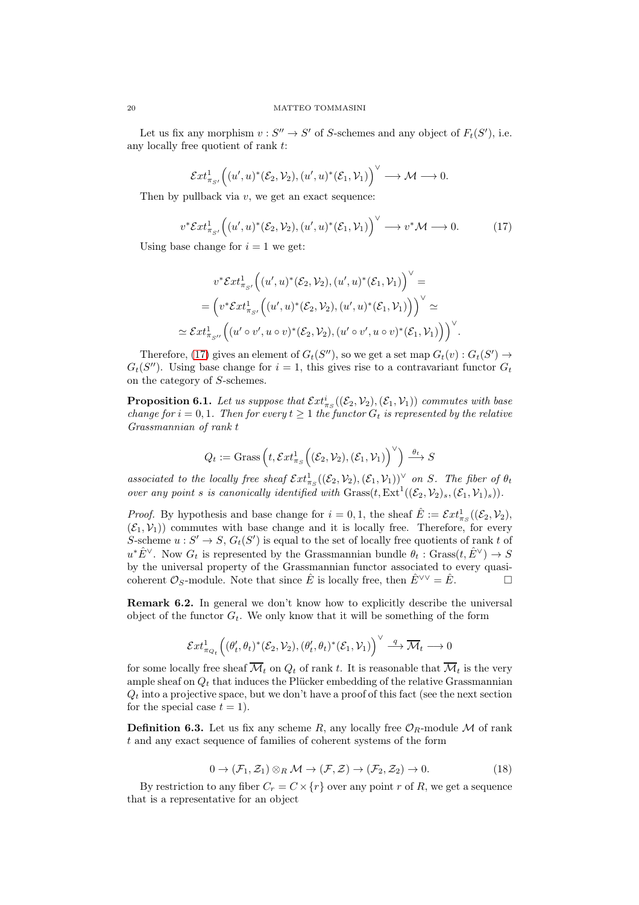Let us fix any morphism  $v: S'' \to S'$  of S-schemes and any object of  $F_t(S')$ , i.e. any locally free quotient of rank t:

$$
\mathcal{E}xt^1_{\pi_{S'}}\Big((u',u)^*(\mathcal{E}_2,\mathcal{V}_2),(u',u)^*(\mathcal{E}_1,\mathcal{V}_1)\Big)^{\vee}\longrightarrow \mathcal{M}\longrightarrow 0.
$$

Then by pullback via  $v$ , we get an exact sequence:

<span id="page-19-1"></span>
$$
v^* \mathcal{E}xt^1_{\pi_{S'}} \Big( (u', u)^* (\mathcal{E}_2, \mathcal{V}_2), (u', u)^* (\mathcal{E}_1, \mathcal{V}_1) \Big)^{\vee} \longrightarrow v^* \mathcal{M} \longrightarrow 0. \tag{17}
$$

Using base change for  $i = 1$  we get:

$$
v^* \mathcal{E}xt^1_{\pi_{S'}} \Big( (u', u)^* (\mathcal{E}_2, \mathcal{V}_2), (u', u)^* (\mathcal{E}_1, \mathcal{V}_1) \Big)^\vee =
$$
  
=  $\Big( v^* \mathcal{E}xt^1_{\pi_{S'}} \Big( (u', u)^* (\mathcal{E}_2, \mathcal{V}_2), (u', u)^* (\mathcal{E}_1, \mathcal{V}_1) \Big) \Big)^\vee \simeq$   
 $\simeq \mathcal{E}xt^1_{\pi_{S''}} \Big( (u' \circ v', u \circ v)^* (\mathcal{E}_2, \mathcal{V}_2), (u' \circ v', u \circ v)^* (\mathcal{E}_1, \mathcal{V}_1) \Big) \Big)^\vee.$ 

Therefore, [\(17\)](#page-19-1) gives an element of  $G_t(S'')$ , so we get a set map  $G_t(v) : G_t(S') \to$  $G_t(S'')$ . Using base change for  $i = 1$ , this gives rise to a contravariant functor  $G_t$ on the category of S-schemes.

<span id="page-19-3"></span>**Proposition 6.1.** Let us suppose that  $\mathcal{E}xt^i_{\pi_S}((\mathcal{E}_2, \mathcal{V}_2),(\mathcal{E}_1, \mathcal{V}_1))$  commutes with base change for  $i = 0, 1$ . Then for every  $t \geq 1$  the functor  $G_t$  is represented by the relative Grassmannian of rank t

$$
Q_t := \text{Grass}\left(t, \mathcal{E}xt^1_{\pi_S}\Big((\mathcal{E}_2, \mathcal{V}_2), (\mathcal{E}_1, \mathcal{V}_1)\right)^\vee\right) \xrightarrow{\theta_t} S
$$

associated to the locally free sheaf  $\mathcal{E}xt^1_{\pi_S}((\mathcal{E}_2,\mathcal{V}_2),(\mathcal{E}_1,\mathcal{V}_1))^{\vee}$  on S. The fiber of  $\theta_t$ over any point s is canonically identified with  $Gress(t, Ext^1((\mathcal{E}_2, \mathcal{V}_2)_s, (\mathcal{E}_1, \mathcal{V}_1)_s)).$ 

*Proof.* By hypothesis and base change for  $i = 0, 1$ , the sheaf  $\hat{E} := \mathcal{E}xt_{\pi_S}^1((\mathcal{E}_2, \mathcal{V}_2))$ ,  $(\mathcal{E}_1, \mathcal{V}_1)$  commutes with base change and it is locally free. Therefore, for every S-scheme  $u: S' \to S$ ,  $G_t(S')$  is equal to the set of locally free quotients of rank t of  $u^*\hat{E}^\vee$ . Now  $G_t$  is represented by the Grassmannian bundle  $\theta_t$ : Grass $(t, \hat{E}^\vee) \to S$ by the universal property of the Grassmannian functor associated to every quasicoherent  $\mathcal{O}_S$ -module. Note that since  $\hat{E}$  is locally free, then  $\hat{E}^{\vee\vee} = \hat{E}$ .

Remark 6.2. In general we don't know how to explicitly describe the universal object of the functor  $G_t$ . We only know that it will be something of the form

$$
\mathcal{E}xt^1_{\pi_{Q_t}}\Big((\theta_t',\theta_t)^*(\mathcal{E}_2,\mathcal{V}_2),(\theta_t',\theta_t)^*(\mathcal{E}_1,\mathcal{V}_1)\Big)^{\vee}\stackrel{q}{\longrightarrow}\overline{\mathcal{M}}_t\longrightarrow 0
$$

for some locally free sheaf  $\overline{\mathcal{M}}_t$  on  $Q_t$  of rank t. It is reasonable that  $\overline{\mathcal{M}}_t$  is the very ample sheaf on  $Q_t$  that induces the Plücker embedding of the relative Grassmannian  $Q_t$  into a projective space, but we don't have a proof of this fact (see the next section for the special case  $t = 1$ ).

<span id="page-19-0"></span>**Definition 6.3.** Let us fix any scheme R, any locally free  $\mathcal{O}_R$ -module M of rank t and any exact sequence of families of coherent systems of the form

<span id="page-19-2"></span>
$$
0 \to (\mathcal{F}_1, \mathcal{Z}_1) \otimes_R \mathcal{M} \to (\mathcal{F}, \mathcal{Z}) \to (\mathcal{F}_2, \mathcal{Z}_2) \to 0. \tag{18}
$$

By restriction to any fiber  $C_r = C \times \{r\}$  over any point r of R, we get a sequence that is a representative for an object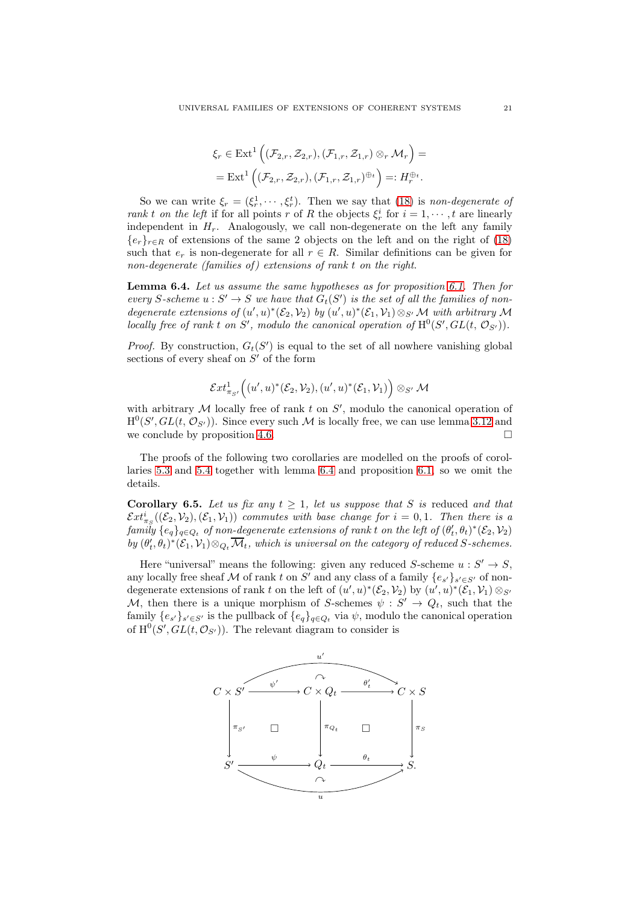$$
\xi_r \in \text{Ext}^1\left((\mathcal{F}_{2,r}, \mathcal{Z}_{2,r}), (\mathcal{F}_{1,r}, \mathcal{Z}_{1,r}) \otimes_r \mathcal{M}_r\right) =
$$
  
= Ext<sup>1</sup> $\left((\mathcal{F}_{2,r}, \mathcal{Z}_{2,r}), (\mathcal{F}_{1,r}, \mathcal{Z}_{1,r})^{\oplus_t}\right) =: H_r^{\oplus_t}.$ 

So we can write  $\xi_r = (\xi_r^1, \dots, \xi_r^t)$ . Then we say that [\(18\)](#page-19-2) is non-degenerate of rank t on the left if for all points r of R the objects  $\xi_r^i$  for  $i = 1, \dots, t$  are linearly independent in  $H_r$ . Analogously, we call non-degenerate on the left any family  ${e_r}_{r \in R}$  of extensions of the same 2 objects on the left and on the right of [\(18\)](#page-19-2) such that  $e_r$  is non-degenerate for all  $r \in R$ . Similar definitions can be given for non-degenerate (families of) extensions of rank  $t$  on the right.

<span id="page-20-0"></span>Lemma 6.4. Let us assume the same hypotheses as for proposition [6.1.](#page-19-3) Then for every S-scheme  $u : S' \to S$  we have that  $G_t(S')$  is the set of all the families of nondegenerate extensions of  $(u', u)^*(\mathcal{E}_2, \mathcal{V}_2)$  by  $(u', u)^*(\mathcal{E}_1, \mathcal{V}_1) \otimes_{S'} \mathcal{M}$  with arbitrary  $\mathcal M$ locally free of rank t on S', modulo the canonical operation of  $H^0(S', GL(t, \mathcal{O}_{S'}))$ .

*Proof.* By construction,  $G_t(S')$  is equal to the set of all nowhere vanishing global sections of every sheaf on  $S'$  of the form

$$
\mathcal{E}xt^1_{\pi_{S'}}\Big((u',u)^*(\mathcal{E}_2,\mathcal{V}_2),(u',u)^*(\mathcal{E}_1,\mathcal{V}_1)\Big)\otimes_{S'}\mathcal{M}
$$

with arbitrary  $M$  locally free of rank  $t$  on  $S'$ , modulo the canonical operation of  $H^0(S', GL(t, \mathcal{O}_{S'}))$ . Since every such M is locally free, we can use lemma [3.12](#page-12-0) and we conclude by proposition [4.6.](#page-15-3)  $\Box$ 

The proofs of the following two corollaries are modelled on the proofs of corollaries [5.3](#page-17-1) and [5.4](#page-18-2) together with lemma [6.4](#page-20-0) and proposition [6.1,](#page-19-3) so we omit the details.

<span id="page-20-1"></span>Corollary 6.5. Let us fix any  $t \geq 1$ , let us suppose that S is reduced and that  $\mathcal{E}xt^i_{\pi_S}((\mathcal{E}_2,\mathcal{V}_2),(\mathcal{E}_1,\mathcal{V}_1))$  commutes with base change for  $i=0,1$ . Then there is a  $\textit{family}~ \{e_q\}_{q \in Q_t}$  of non-degenerate extensions of rank  $t$  on the left of  $(\theta_t', \theta_t)^*(\mathcal{E}_2, \mathcal{V}_2)$ by  $(\theta'_t, \theta_t)^*(\mathcal{E}_1, \mathcal{V}_1) \otimes_{Q_t} \overline{\mathcal{M}}_t$ , which is universal on the category of reduced S-schemes.

Here "universal" means the following: given any reduced S-scheme  $u : S' \to S$ , any locally free sheaf M of rank t on S' and any class of a family  $\{e_{s'}\}_{s' \in S'}$  of nondegenerate extensions of rank t on the left of  $(u', u)^*(\mathcal{E}_2, \mathcal{V}_2)$  by  $(u', u)^*(\mathcal{E}_1, \mathcal{V}_1) \otimes_{S'}$ M, then there is a unique morphism of S-schemes  $\psi : S' \to Q_t$ , such that the family  $\{e_{s'}\}_{s' \in S'}$  is the pullback of  $\{e_q\}_{q \in Q_t}$  via  $\psi$ , modulo the canonical operation of  $\text{H}^0(S', GL(t, \mathcal{O}_{S'}))$ . The relevant diagram to consider is

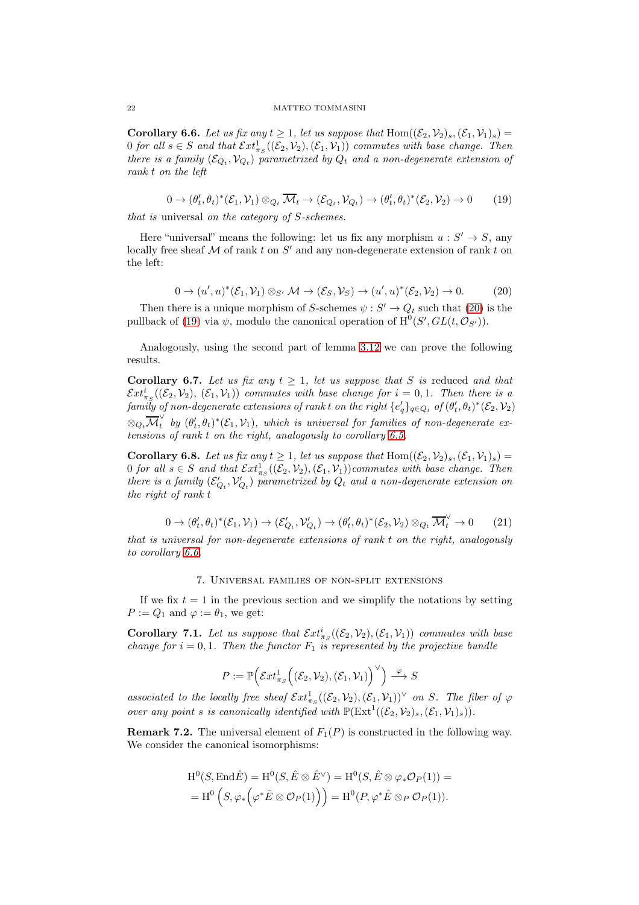<span id="page-21-2"></span>**Corollary 6.6.** Let us fix any  $t \geq 1$ , let us suppose that  $Hom((\mathcal{E}_2, \mathcal{V}_2)_s, (\mathcal{E}_1, \mathcal{V}_1)_s)$ 0 for all  $s \in S$  and that  $\mathcal{E}xt^1_{\pi_S}((\mathcal{E}_2,\mathcal{V}_2),(\mathcal{E}_1,\mathcal{V}_1))$  commutes with base change. Then there is a family  $(\mathcal{E}_{Q_t}, \mathcal{V}_{Q_t})$  parametrized by  $Q_t$  and a non-degenerate extension of rank t on the left

<span id="page-21-1"></span> $0 \to (\theta'_t, \theta_t)^*(\mathcal{E}_1, \mathcal{V}_1) \otimes_{Q_t} \overline{\mathcal{M}}_t \to (\mathcal{E}_{Q_t}, \mathcal{V}_{Q_t}) \to (\theta'_t, \theta_t)^*(\mathcal{E}_2, \mathcal{V}_2) \to 0$  (19)

that is universal on the category of S-schemes.

Here "universal" means the following: let us fix any morphism  $u : S' \to S$ , any locally free sheaf  $M$  of rank  $t$  on  $S'$  and any non-degenerate extension of rank  $t$  on the left:

<span id="page-21-0"></span>
$$
0 \to (u',u)^*(\mathcal{E}_1,\mathcal{V}_1) \otimes_{S'} \mathcal{M} \to (\mathcal{E}_S,\mathcal{V}_S) \to (u',u)^*(\mathcal{E}_2,\mathcal{V}_2) \to 0. \tag{20}
$$

Then there is a unique morphism of S-schemes  $\psi : S' \to Q_t$  such that [\(20\)](#page-21-0) is the pullback of [\(19\)](#page-21-1) via  $\psi$ , modulo the canonical operation of  $H^0(S', GL(t, \mathcal{O}_{S'}))$ .

Analogously, using the second part of lemma [3.12](#page-12-0) we can prove the following results.

<span id="page-21-3"></span>Corollary 6.7. Let us fix any  $t \geq 1$ , let us suppose that S is reduced and that  $\mathcal{E}xt^i_{\pi_S}((\mathcal{E}_2,\mathcal{V}_2), (\mathcal{E}_1,\mathcal{V}_1))$  commutes with base change for  $i=0,1$ . Then there is a  $f a m i \bar{l} y$  of non-degenerate extensions of rank t on the right  $\{e'_q\}_{q\in Q_t}$  of  $(\theta'_t,\theta_t)^*(\mathcal{E}_2,\mathcal{V}_2)$  $\otimes_{Q_t} \overline{\mathcal{M}}_t^{\vee}$  $\hat{t}_t^{\dagger}$  by  $(\theta_t^{\prime}, \theta_t)^*(\mathcal{E}_1, \mathcal{V}_1)$ , which is universal for families of non-degenerate extensions of rank t on the right, analogously to corollary [6.5.](#page-20-1)

<span id="page-21-4"></span>**Corollary 6.8.** Let us fix any  $t \geq 1$ , let us suppose that  $\text{Hom}((\mathcal{E}_2, \mathcal{V}_2)_s, (\mathcal{E}_1, \mathcal{V}_1)_s)$ 0 for all  $s \in S$  and that  $\mathcal{E}xt^1_{\pi_S}((\mathcal{E}_2,\mathcal{V}_2),(\mathcal{E}_1,\mathcal{V}_1))$  commutes with base change. Then there is a family  $(\mathcal{E}'_{Q_t}, \mathcal{V}'_{Q_t})$  parametrized by  $Q_t$  and a non-degenerate extension on the right of rank t

$$
0 \to (\theta'_t, \theta_t)^*(\mathcal{E}_1, \mathcal{V}_1) \to (\mathcal{E}'_{Q_t}, \mathcal{V}'_{Q_t}) \to (\theta'_t, \theta_t)^*(\mathcal{E}_2, \mathcal{V}_2) \otimes_{Q_t} \overline{\mathcal{M}}_t^{\vee} \to 0
$$
 (21)

that is universal for non-degenerate extensions of rank t on the right, analogously to corollary [6.6.](#page-21-2)

## 7. Universal families of non-split extensions

If we fix  $t = 1$  in the previous section and we simplify the notations by setting  $P := Q_1$  and  $\varphi := \theta_1$ , we get:

Corollary 7.1. Let us suppose that  $\mathcal{E}xt^i_{\pi_S}((\mathcal{E}_2,\mathcal{V}_2),(\mathcal{E}_1,\mathcal{V}_1))$  commutes with base change for  $i = 0, 1$ . Then the functor  $F_1$  is represented by the projective bundle

$$
P:=\mathbb{P}\Big(\mathcal{E}xt^1_{\pi_S}\Big((\mathcal{E}_2,\mathcal{V}_2),(\mathcal{E}_1,\mathcal{V}_1)\Big)^{\vee}\Big)\stackrel{\varphi}{\longrightarrow} S
$$

associated to the locally free sheaf  $\mathcal{E}xt^1_{\pi_S}((\mathcal{E}_2,\mathcal{V}_2),(\mathcal{E}_1,\mathcal{V}_1))^{\vee}$  on S. The fiber of  $\varphi$ over any point s is canonically identified with  $\mathbb{P}(\text{Ext}^{1}((\mathcal{E}_{2}, \mathcal{V}_{2})_{s}, (\mathcal{E}_{1}, \mathcal{V}_{1})_{s})).$ 

**Remark 7.2.** The universal element of  $F_1(P)$  is constructed in the following way. We consider the canonical isomorphisms:

$$
H^0(S, End\hat{E}) = H^0(S, \hat{E} \otimes \hat{E}^{\vee}) = H^0(S, \hat{E} \otimes \varphi_* \mathcal{O}_P(1)) =
$$
  
=  $H^0(S, \varphi_* \left( \varphi^* \hat{E} \otimes \mathcal{O}_P(1) \right)) = H^0(P, \varphi^* \hat{E} \otimes_P \mathcal{O}_P(1)).$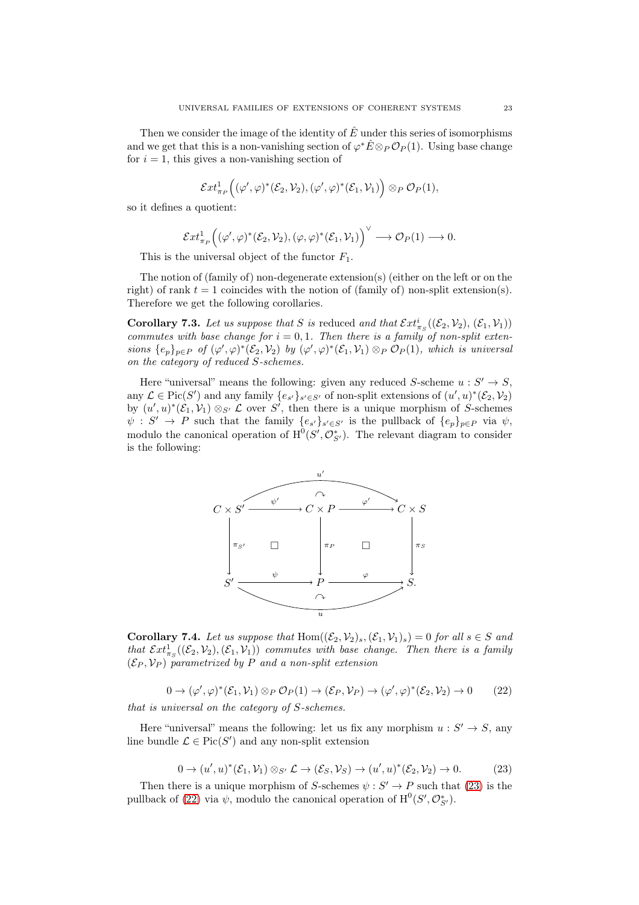Then we consider the image of the identity of  $\hat{E}$  under this series of isomorphisms and we get that this is a non-vanishing section of  $\varphi^* \hat{E} \otimes_P \mathcal{O}_P(1)$ . Using base change for  $i = 1$ , this gives a non-vanishing section of

$$
\mathcal{E}xt^1_{\pi_P}\Big( (\varphi',\varphi)^*(\mathcal{E}_2,\mathcal{V}_2),(\varphi',\varphi)^*(\mathcal{E}_1,\mathcal{V}_1) \Big) \otimes_P \mathcal{O}_P(1),
$$

so it defines a quotient:

$$
\mathcal{E}xt^1_{\pi_P} \Big( (\varphi', \varphi)^*(\mathcal{E}_2, \mathcal{V}_2), (\varphi, \varphi)^*(\mathcal{E}_1, \mathcal{V}_1) \Big)^{\vee} \longrightarrow \mathcal{O}_P(1) \longrightarrow 0.
$$

This is the universal object of the functor  $F_1$ .

The notion of  $(\text{family of})$  non-degenerate extension(s) (either on the left or on the right) of rank  $t = 1$  coincides with the notion of (family of) non-split extension(s). Therefore we get the following corollaries.

<span id="page-22-2"></span>**Corollary 7.3.** Let us suppose that S is reduced and that  $\mathcal{E}xt^i_{\pi_S}((\mathcal{E}_2,\mathcal{V}_2), (\mathcal{E}_1,\mathcal{V}_1))$ commutes with base change for  $i = 0, 1$ . Then there is a family of non-split extensions  $\{e_p\}_{p\in P}$  of  $(\varphi', \varphi)^*(\mathcal{E}_2, \mathcal{V}_2)$  by  $(\varphi', \varphi)^*(\mathcal{E}_1, \mathcal{V}_1) \otimes_P \mathcal{O}_P(1)$ , which is universal on the category of reduced S-schemes.

Here "universal" means the following: given any reduced S-scheme  $u : S' \to S$ , any  $\mathcal{L} \in Pic(S')$  and any family  $\{e_{s'}\}_{s' \in S'}$  of non-split extensions of  $(u', u)^*(\mathcal{E}_2, \mathcal{V}_2)$ by  $(u', u)^*(\mathcal{E}_1, \mathcal{V}_1) \otimes_{S'} \mathcal{L}$  over S', then there is a unique morphism of S-schemes  $\psi : S' \to P$  such that the family  $\{e_{s'}\}_{s' \in S'}$  is the pullback of  $\{e_p\}_{p \in P}$  via  $\psi$ , modulo the canonical operation of  $H^0(S', \mathcal{O}_{S'}^*)$ . The relevant diagram to consider is the following:



<span id="page-22-3"></span>**Corollary 7.4.** Let us suppose that  $Hom((\mathcal{E}_2, \mathcal{V}_2)_s, (\mathcal{E}_1, \mathcal{V}_1)_s) = 0$  for all  $s \in S$  and that  $\mathcal{E}xt^1_{\pi_S}((\mathcal{E}_2,\mathcal{V}_2),(\mathcal{E}_1,\mathcal{V}_1))$  commutes with base change. Then there is a family  $(\mathcal{E}_P, \mathcal{V}_P)$  parametrized by P and a non-split extension

<span id="page-22-1"></span>
$$
0 \to (\varphi', \varphi)^* (\mathcal{E}_1, \mathcal{V}_1) \otimes_P \mathcal{O}_P(1) \to (\mathcal{E}_P, \mathcal{V}_P) \to (\varphi', \varphi)^* (\mathcal{E}_2, \mathcal{V}_2) \to 0 \qquad (22)
$$

that is universal on the category of S-schemes.

Here "universal" means the following: let us fix any morphism  $u : S' \to S$ , any line bundle  $\mathcal{L} \in Pic(S')$  and any non-split extension

<span id="page-22-0"></span>
$$
0 \to (u',u)^*(\mathcal{E}_1,\mathcal{V}_1) \otimes_{S'} \mathcal{L} \to (\mathcal{E}_S,\mathcal{V}_S) \to (u',u)^*(\mathcal{E}_2,\mathcal{V}_2) \to 0. \tag{23}
$$

Then there is a unique morphism of S-schemes  $\psi : S' \to P$  such that [\(23\)](#page-22-0) is the pullback of [\(22\)](#page-22-1) via  $\psi$ , modulo the canonical operation of  $\mathrm{H}^{0}(S', \mathcal{O}_{S'}^{*})$ .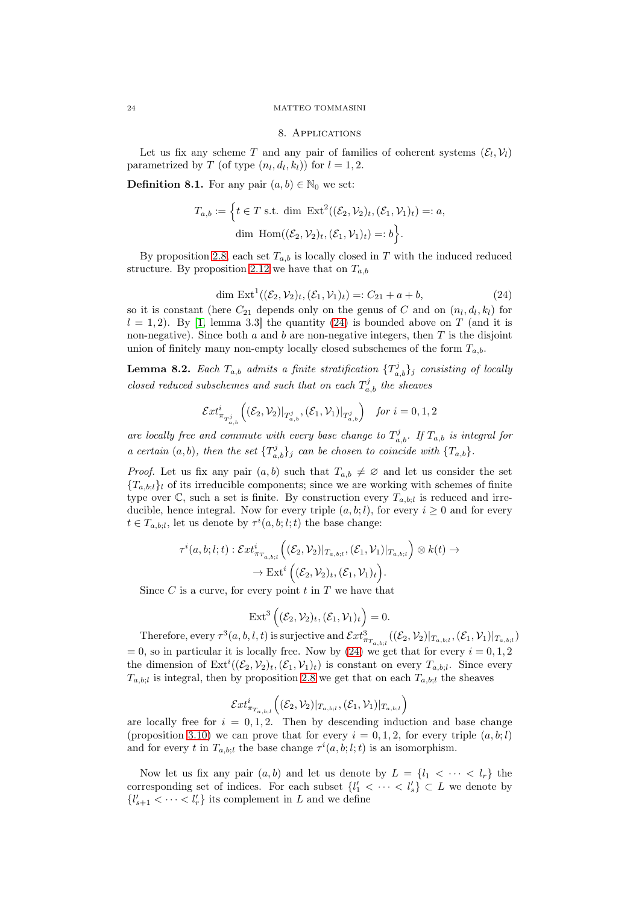### 8. Applications

Let us fix any scheme T and any pair of families of coherent systems  $(\mathcal{E}_l, \mathcal{V}_l)$ parametrized by T (of type  $(n_l, d_l, k_l)$ ) for  $l = 1, 2$ .

**Definition 8.1.** For any pair  $(a, b) \in \mathbb{N}_0$  we set:

$$
T_{a,b} := \left\{ t \in T \text{ s.t. dim } \operatorname{Ext}^2((\mathcal{E}_2, \mathcal{V}_2)_t, (\mathcal{E}_1, \mathcal{V}_1)_t) =: a, \right\}
$$
  
dim Hom $((\mathcal{E}_2, \mathcal{V}_2)_t, (\mathcal{E}_1, \mathcal{V}_1)_t) =: b \right\}.$ 

By proposition [2.8,](#page-6-2) each set  $T_{a,b}$  is locally closed in T with the induced reduced structure. By proposition [2.12](#page-7-0) we have that on  $T_{a,b}$ 

<span id="page-23-0"></span>
$$
\dim \operatorname{Ext}^1((\mathcal{E}_2, \mathcal{V}_2)_t, (\mathcal{E}_1, \mathcal{V}_1)_t) =: C_{21} + a + b,\tag{24}
$$

so it is constant (here  $C_{21}$  depends only on the genus of C and on  $(n_l, d_l, k_l)$  for  $l = 1, 2$ ). By [\[1,](#page-28-1) lemma 3.3] the quantity [\(24\)](#page-23-0) is bounded above on T (and it is non-negative). Since both  $a$  and  $b$  are non-negative integers, then  $T$  is the disjoint union of finitely many non-empty locally closed subschemes of the form  $T_{a,b}$ .

<span id="page-23-1"></span>**Lemma 8.2.** Each  $T_{a,b}$  admits a finite stratification  $\{T_{a,b}^j\}_j$  consisting of locally closed reduced subschemes and such that on each  $T_{a,b}^{j}$  the sheaves

$$
\mathcal{E}xt^i_{\pi_{T_{a,b}^j}}\Big((\mathcal{E}_2,\mathcal{V}_2)|_{T_{a,b}^j},(\mathcal{E}_1,\mathcal{V}_1)|_{T_{a,b}^j}\Big)\quad\text{for }i=0,1,2
$$

are locally free and commute with every base change to  $T_{a,b}^j$ . If  $T_{a,b}$  is integral for a certain  $(a, b)$ , then the set  $\{T_{a,b}^j\}_j$  can be chosen to coincide with  $\{T_{a,b}\}$ .

*Proof.* Let us fix any pair  $(a, b)$  such that  $T_{a,b} \neq \emptyset$  and let us consider the set  ${T_{a,b;l}}$  of its irreducible components; since we are working with schemes of finite type over  $\mathbb{C}$ , such a set is finite. By construction every  $T_{a,b;l}$  is reduced and irreducible, hence integral. Now for every triple  $(a, b; l)$ , for every  $i \geq 0$  and for every  $t \in T_{a,b;l}$ , let us denote by  $\tau^{i}(a,b;l;t)$  the base change:

$$
\tau^i(a,b;l;t): \mathcal{E}xt^i_{\pi_{T_{a,b;l}}} \left( (\mathcal{E}_2, \mathcal{V}_2)|_{T_{a,b;l}}, (\mathcal{E}_1, \mathcal{V}_1)|_{T_{a,b;l}} \right) \otimes k(t) \to
$$

$$
\to \mathrm{Ext}^i \left( (\mathcal{E}_2, \mathcal{V}_2)_t, (\mathcal{E}_1, \mathcal{V}_1)_t \right).
$$

Since  $C$  is a curve, for every point  $t$  in  $T$  we have that

$$
\mathrm{Ext}^{3}\left((\mathcal{E}_{2},\mathcal{V}_{2})_{t},(\mathcal{E}_{1},\mathcal{V}_{1})_{t}\right)=0.
$$

Therefore, every  $\tau^3(a, b, l, t)$  is surjective and  $\mathcal{E}xt^3_{\pi_{T_{a,b;l}}}((\mathcal{E}_2, \mathcal{V}_2)|_{T_{a,b;l}}, (\mathcal{E}_1, \mathcal{V}_1)|_{T_{a,b;l}})$  $= 0$ , so in particular it is locally free. Now by [\(24\)](#page-23-0) we get that for every  $i = 0, 1, 2$ the dimension of  $\text{Ext}^i((\mathcal{E}_2, \mathcal{V}_2)_t, (\mathcal{E}_1, \mathcal{V}_1)_t)$  is constant on every  $T_{a,b;l}$ . Since every  $T_{a,b;l}$  is integral, then by proposition [2.8](#page-6-2) we get that on each  $T_{a,b;l}$  the sheaves

$$
\mathcal{E}xt^i_{\pi_{T_{a,b;l}}}\Big((\mathcal{E}_2,\mathcal{V}_2)|_{T_{a,b;l}},(\mathcal{E}_1,\mathcal{V}_1)|_{T_{a,b;l}}\Big)
$$

are locally free for  $i = 0, 1, 2$ . Then by descending induction and base change (proposition [3.10\)](#page-11-1) we can prove that for every  $i = 0, 1, 2$ , for every triple  $(a, b; l)$ and for every t in  $T_{a,b;l}$  the base change  $\tau^{i}(a,b;l;t)$  is an isomorphism.

Now let us fix any pair  $(a, b)$  and let us denote by  $L = \{l_1 < \cdots < l_r\}$  the corresponding set of indices. For each subset  $\{l'_1 \langle \cdots \langle l'_s \rangle \subset L \text{ we denote by } \}$  ${l'_{s+1} < \cdots < l'_r}$  its complement in L and we define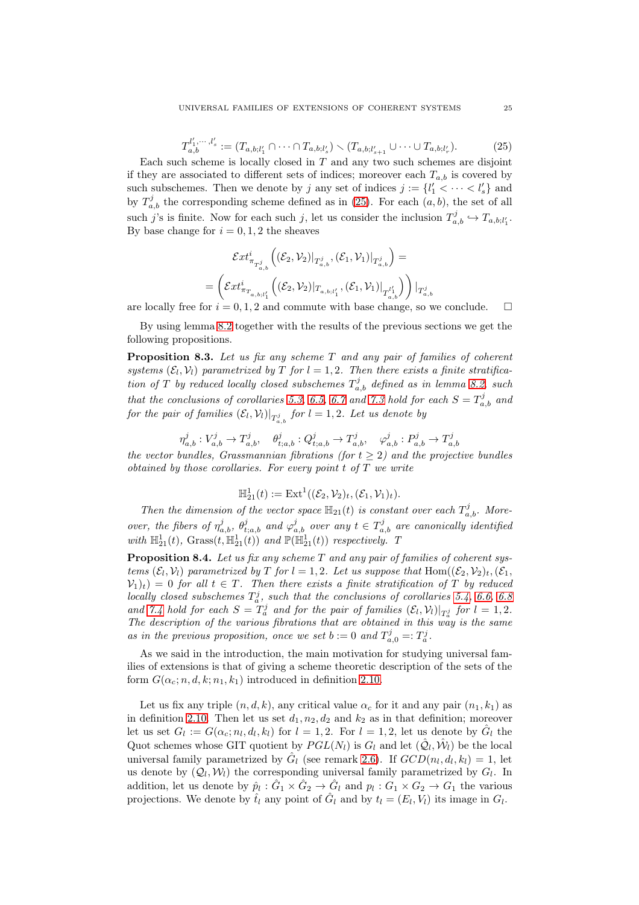<span id="page-24-0"></span>
$$
T_{a,b}^{l'_1,\dots,l'_s} := (T_{a,b;l'_1} \cap \dots \cap T_{a,b;l'_s}) \setminus (T_{a,b;l'_{s+1}} \cup \dots \cup T_{a,b;l'_r}).
$$
 (25)

Each such scheme is locally closed in  $T$  and any two such schemes are disjoint if they are associated to different sets of indices; moreover each  $T_{a,b}$  is covered by such subschemes. Then we denote by j any set of indices  $j := \{l'_1 < \cdots < l'_s\}$  and by  $T_{a,b}^j$  the corresponding scheme defined as in [\(25\)](#page-24-0). For each  $(a, b)$ , the set of all such j's is finite. Now for each such j, let us consider the inclusion  $T_{a,b}^j \hookrightarrow T_{a,b;l'_1}$ . By base change for  $i = 0, 1, 2$  the sheaves

$$
\mathcal{E}xt^i_{\pi_{T_{a,b}^j}}\left((\mathcal{E}_2,\mathcal{V}_2)|_{T_{a,b}^j},(\mathcal{E}_1,\mathcal{V}_1)|_{T_{a,b}^j}\right)=\\=\left(\mathcal{E}xt^i_{\pi_{T_{a,b;l_1}'}}\left((\mathcal{E}_2,\mathcal{V}_2)|_{T_{a,b;l_1}'},(\mathcal{E}_1,\mathcal{V}_1)|_{T_{a,b}^{l_1'}}\right)\right)|_{T_{a,b}^j}
$$

are locally free for  $i = 0, 1, 2$  and commute with base change, so we conclude.

By using lemma [8.2](#page-23-1) together with the results of the previous sections we get the following propositions.

<span id="page-24-1"></span>**Proposition 8.3.** Let us fix any scheme  $T$  and any pair of families of coherent systems  $(\mathcal{E}_l, \mathcal{V}_l)$  parametrized by T for  $l = 1, 2$ . Then there exists a finite stratification of T by reduced locally closed subschemes  $T_{a,b}^j$  defined as in lemma [8.2,](#page-23-1) such that the conclusions of corollaries [5.3,](#page-17-1) [6.5,](#page-20-1) [6.7](#page-21-3) and [7.3](#page-22-2) hold for each  $S = T_{a,b}^{j}$  and for the pair of families  $(\mathcal{E}_l, \mathcal{V}_l)|_{T_{a,b}^j}$  for  $l = 1, 2$ . Let us denote by

$$
\eta_{a,b}^j:V_{a,b}^j\rightarrow T_{a,b}^j,\quad \theta_{t;a,b}^j:Q_{t;a,b}^j\rightarrow T_{a,b}^j,\quad \varphi_{a,b}^j:P_{a,b}^j\rightarrow T_{a,b}^j
$$

the vector bundles, Grassmannian fibrations (for  $t > 2$ ) and the projective bundles obtained by those corollaries. For every point t of T we write

$$
\mathbb{H}_{21}^1(t) := \mathrm{Ext}^1((\mathcal{E}_2, \mathcal{V}_2)_t, (\mathcal{E}_1, \mathcal{V}_1)_t).
$$

Then the dimension of the vector space  $\mathbb{H}_{21}(t)$  is constant over each  $T_{a,b}^j$ . Moreover, the fibers of  $\eta_{a,b}^j$ ,  $\theta_{t;a,b}^j$  and  $\varphi_{a,b}^j$  over any  $t \in T_{a,b}^j$  are canonically identified with  $\mathbb{H}_{21}^1(t)$ , Grass $(t, \mathbb{H}_{21}^1(t))$  and  $\mathbb{P}(\mathbb{H}_{21}^1(t))$  respectively. T

**Proposition 8.4.** Let us fix any scheme  $T$  and any pair of families of coherent systems  $(\mathcal{E}_l, \mathcal{V}_l)$  parametrized by T for  $l = 1, 2$ . Let us suppose that Hom $((\mathcal{E}_2, \mathcal{V}_2)_t, (\mathcal{E}_1,$  $V_1(t) = 0$  for all  $t \in T$ . Then there exists a finite stratification of T by reduced locally closed subschemes  $T_a^j$ , such that the conclusions of corollaries [5.4,](#page-18-2) [6.6,](#page-21-2) [6.8](#page-21-4) and [7.4](#page-22-3) hold for each  $S = T_a^j$  and for the pair of families  $(\mathcal{E}_l, \mathcal{V}_l)|_{T_a^j}$  for  $l = 1, 2$ . The description of the various fibrations that are obtained in this way is the same as in the previous proposition, once we set  $b := 0$  and  $T_{a,0}^j =: T_a^j$ .

As we said in the introduction, the main motivation for studying universal families of extensions is that of giving a scheme theoretic description of the sets of the form  $G(\alpha_c; n, d, k; n_1, k_1)$  introduced in definition [2.10.](#page-6-3)

Let us fix any triple  $(n, d, k)$ , any critical value  $\alpha_c$  for it and any pair  $(n_1, k_1)$  as in definition [2.10.](#page-6-3) Then let us set  $d_1, n_2, d_2$  and  $k_2$  as in that definition; moreover let us set  $G_l := G(\alpha_c; n_l, d_l, k_l)$  for  $l = 1, 2$ . For  $l = 1, 2$ , let us denote by  $\hat{G}_l$  the Quot schemes whose GIT quotient by  $PGL(N_l)$  is  $G_l$  and let  $(\hat{Q}_l, \hat{W}_l)$  be the local universal family parametrized by  $\hat{G}_l$  (see remark [2.6\)](#page-5-0). If  $GCD(n_l, d_l, k_l) = 1$ , let us denote by  $(Q_l, W_l)$  the corresponding universal family parametrized by  $G_l$ . In addition, let us denote by  $\hat{p}_l : \hat{G}_1 \times \hat{G}_2 \to \hat{G}_l$  and  $p_l : G_1 \times G_2 \to G_1$  the various projections. We denote by  $\hat{t}_l$  any point of  $\hat{G}_l$  and by  $t_l = (E_l, V_l)$  its image in  $G_l$ .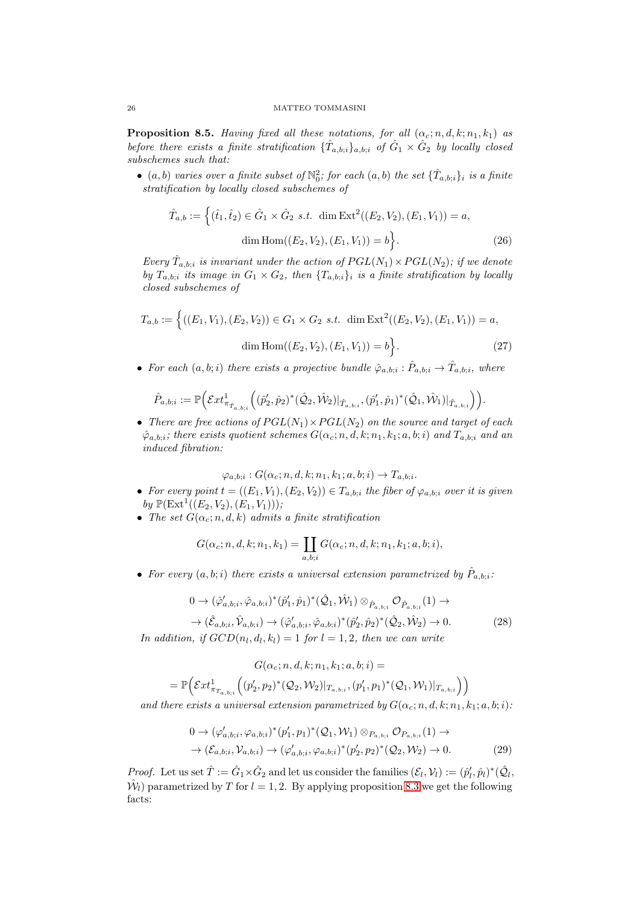<span id="page-25-2"></span>**Proposition 8.5.** Having fixed all these notations, for all  $(\alpha_c; n, d, k; n_1, k_1)$  as before there exists a finite stratification  $\{\hat{T}_{a,b;i}\}_{a,b;i}$  of  $\hat{G}_1 \times \hat{G}_2$  by locally closed subschemes such that:

 $\bullet$  (a, b) varies over a finite subset of  $\mathbb{N}_0^2$ ; for each  $(a, b)$  the set  $\{\hat{T}_{a, b; i}\}_i$  is a finite stratification by locally closed subschemes of

<span id="page-25-0"></span>
$$
\hat{T}_{a,b} := \left\{ (\hat{t}_1, \hat{t}_2) \in \hat{G}_1 \times \hat{G}_2 \text{ s.t. } \dim \text{Ext}^2((E_2, V_2), (E_1, V_1)) = a, \right\}
$$
\n
$$
\dim \text{Hom}((E_2, V_2), (E_1, V_1)) = b \right\}.
$$
\n(26)

Every  $\hat{T}_{a,b;i}$  is invariant under the action of  $PGL(N_1) \times PGL(N_2)$ ; if we denote by  $T_{a,b;i}$  its image in  $G_1 \times G_2$ , then  $\{T_{a,b;i}\}_i$  is a finite stratification by locally closed subschemes of

$$
T_{a,b} := \left\{ ((E_1, V_1), (E_2, V_2)) \in G_1 \times G_2 \text{ s.t. } \dim \text{Ext}^2((E_2, V_2), (E_1, V_1)) = a, \text{dim Hom}((E_2, V_2), (E_1, V_1)) = b \right\}.
$$
\n(27)

• For each  $(a, b; i)$  there exists a projective bundle  $\hat{\varphi}_{a,b;i} : \hat{P}_{a,b;i} \to \hat{T}_{a,b;i}$ , where

$$
\hat{P}_{a,b;i} := \mathbb{P}\Big(\mathcal{E}xt^1_{\pi_{\hat{T}_{a,b;i}}}\Big((\hat{p}'_2,\hat{p}_2)^*(\hat{\mathcal{Q}}_2,\hat{\mathcal{W}}_2)|_{\hat{T}_{a,b;i}},(\hat{p}'_1,\hat{p}_1)^*(\hat{\mathcal{Q}}_1,\hat{\mathcal{W}}_1)|_{\hat{T}_{a,b;i}}\Big)\Big).
$$

• There are free actions of  $PGL(N_1) \times PGL(N_2)$  on the source and target of each  $\hat{\varphi}_{a,b;i}$ ; there exists quotient schemes  $G(\alpha_c; n, d, k; n_1, k_1; a, b; i)$  and  $T_{a,b;i}$  and an induced fibration:

$$
\varphi_{a,b;i}: G(\alpha_c; n, d, k; n_1, k_1; a, b; i) \to T_{a,b;i}.
$$

- For every point  $t = ((E_1, V_1), (E_2, V_2)) \in T_{a,b;i}$  the fiber of  $\varphi_{a,b;i}$  over it is given by  $\mathbb{P}(\text{Ext}^{1}((E_2, V_2), (E_1, V_1)))$ ;
- The set  $G(\alpha_c; n, d, k)$  admits a finite stratification

$$
G(\alpha_c; n, d, k; n_1, k_1) = \coprod_{a, b; i} G(\alpha_c; n, d, k; n_1, k_1; a, b; i),
$$

• For every  $(a,b;i)$  there exists a universal extension parametrized by  $\hat{P}_{a,b;i}$ :

<span id="page-25-3"></span>
$$
0 \to (\hat{\varphi}'_{a,b;i}, \hat{\varphi}_{a,b;i})^*(\hat{p}'_1, \hat{p}_1)^*(\hat{Q}_1, \hat{W}_1) \otimes_{\hat{P}_{a,b;i}} \mathcal{O}_{\hat{P}_{a,b;i}}(1) \to \to (\hat{\mathcal{E}}_{a,b;i}, \hat{\mathcal{V}}_{a,b;i}) \to (\hat{\varphi}'_{a,b;i}, \hat{\varphi}_{a,b;i})^*(\hat{p}'_2, \hat{p}_2)^*(\hat{Q}_2, \hat{W}_2) \to 0.
$$
\n(28)

In addition, if  $GCD(n_l, d_l, k_l) = 1$  for  $l = 1, 2$ , then we can write

$$
G(\alpha_c; n, d, k; n_1, k_1; a, b; i) =
$$
  
=  $\mathbb{P}\Big(\mathcal{E}xt^1_{\pi_{T_{a,b;i}}}((p'_2, p_2)^*(\mathcal{Q}_2, \mathcal{W}_2)|_{T_{a,b;i}}, (p'_1, p_1)^*(\mathcal{Q}_1, \mathcal{W}_1)|_{T_{a,b;i}}\Big)\Big)$ 

and there exists a universal extension parametrized by  $G(\alpha_c; n, d, k; n_1, k_1; a, b; i)$ :

<span id="page-25-1"></span>
$$
0 \to (\varphi'_{a,b;i}, \varphi_{a,b;i})^*(p'_1, p_1)^*(Q_1, \mathcal{W}_1) \otimes_{P_{a,b;i}} \mathcal{O}_{P_{a,b;i}}(1) \to
$$
  

$$
\to (\mathcal{E}_{a,b;i}, \mathcal{V}_{a,b;i}) \to (\varphi'_{a,b;i}, \varphi_{a,b;i})^*(p'_2, p_2)^*(Q_2, \mathcal{W}_2) \to 0.
$$
 (29)

*Proof.* Let us set  $\hat{T} := \hat{G}_1 \times \hat{G}_2$  and let us consider the families  $(\mathcal{E}_l, \mathcal{V}_l) := (\hat{p}'_l, \hat{p}_l)^*(\hat{Q}_l, \hat{Q}_l)$  $\hat{\mathcal{W}}_l$ ) parametrized by T for  $l = 1, 2$ . By applying proposition [8.3](#page-24-1) we get the following facts: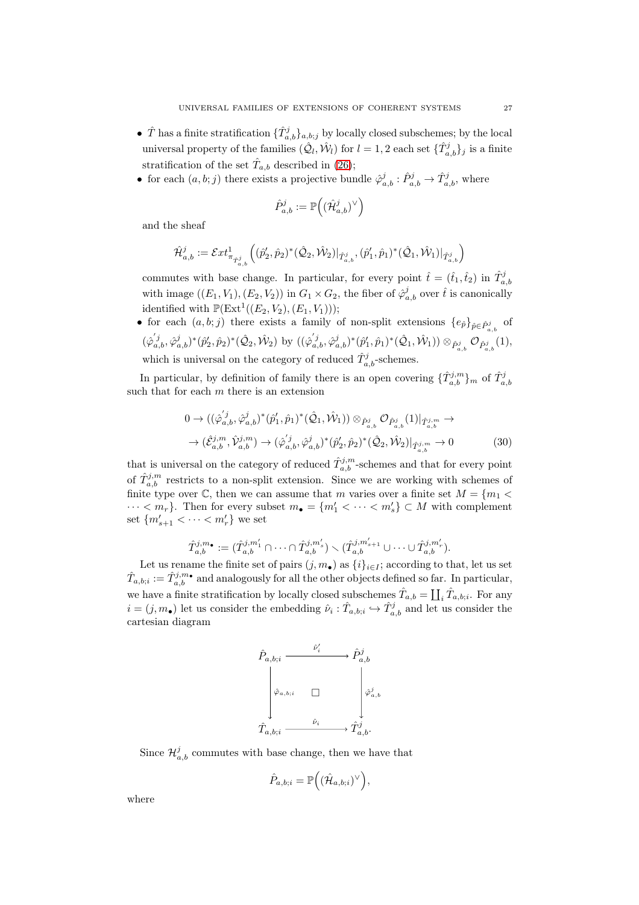- $\hat{T}$  has a finite stratification  $\{\hat{T}_{a,b}^j\}_{a,b;j}$  by locally closed subschemes; by the local universal property of the families  $(\hat{Q}_l, \hat{W}_l)$  for  $l = 1, 2$  each set  $\{\hat{T}_{a,b}^j\}_j$  is a finite stratification of the set  $\hat{T}_{a,b}$  described in [\(26\)](#page-25-0);
- for each  $(a, b; j)$  there exists a projective bundle  $\hat{\varphi}_{a,b}^j : \hat{P}_{a,b}^j \to \hat{T}_{a,b}^j$ , where

$$
\hat{P}_{a,b}^j := \mathbb{P}\Big((\hat{\mathcal{H}}_{a,b}^j)^{\vee}\Big)
$$

and the sheaf

$$
\hat{\mathcal{H}}_{a,b}^j := \mathcal{E}xt^1_{\pi_{\hat{T}_{a,b}^j}}\Big((\hat{p}'_2,\hat{p}_2)^*(\hat{\mathcal{Q}}_2,\hat{\mathcal{W}}_2)|_{\hat{T}_{a,b}^j},(\hat{p}'_1,\hat{p}_1)^*(\hat{\mathcal{Q}}_1,\hat{\mathcal{W}}_1)|_{\hat{T}_{a,b}^j}\Big)
$$

commutes with base change. In particular, for every point  $\hat{t} = (\hat{t}_1, \hat{t}_2)$  in  $\hat{T}_{a,b}^j$ with image  $((E_1, V_1), (E_2, V_2))$  in  $G_1 \times G_2$ , the fiber of  $\hat{\varphi}_{a,b}^j$  over  $\hat{t}$  is canonically identified with  $\mathbb{P}(\text{Ext}^1((E_2, V_2), (E_1, V_1)))$ ;

• for each  $(a, b; j)$  there exists a family of non-split extensions  $\{e_{\hat{p}}\}_{\hat{p}\in \hat{P}^j_{a,b}}$  of a,b  $(\hat{\varphi}_{a,b}^{'j},\hat{\varphi}_{a,b}^{j})^{*}(\hat{p}_{2}',\hat{p}_{2})^{*}(\hat{\mathcal{Q}}_{2},\hat{\mathcal{W}}_{2}) \text{ by }((\hat{\varphi}_{a,b}^{'j},\hat{\varphi}_{a,b}^{j})^{*}(\hat{p}_{1}',\hat{p}_{1})^{*}(\hat{\mathcal{Q}}_{1},\hat{\mathcal{W}}_{1})) \otimes_{\hat{P}_{a,b}^{j}} \mathcal{O}_{\hat{P}_{a,b}^{j}}(1),$ which is universal on the category of reduced  $\hat{T}^j_{a,b}$ -schemes.

In particular, by definition of family there is an open covering  $\{\hat{T}_{a,b}^{j,m}\}_m$  of  $\hat{T}_{a,b}^j$ such that for each  $m$  there is an extension

<span id="page-26-0"></span>
$$
0 \to ((\hat{\varphi}_{a,b}^{'j}, \hat{\varphi}_{a,b}^{j})^{*}(\hat{p}_{1}', \hat{p}_{1})^{*}(\hat{\mathcal{Q}}_{1}, \hat{\mathcal{W}}_{1})) \otimes_{\hat{P}_{a,b}^{j}} \mathcal{O}_{\hat{P}_{a,b}^{j}}(1)|_{\hat{T}_{a,b}^{j,m}} \to \to (\hat{\mathcal{E}}_{a,b}^{j,m}, \hat{\mathcal{V}}_{a,b}^{j,m}) \to (\hat{\varphi}_{a,b}^{'j}, \hat{\varphi}_{a,b}^{j})^{*}(\hat{p}_{2}', \hat{p}_{2})^{*}(\hat{\mathcal{Q}}_{2}, \hat{\mathcal{W}}_{2})|_{\hat{T}_{a,b}^{j,m}} \to 0
$$
\n(30)

that is universal on the category of reduced  $\hat{T}_{a,b}^{j,m}$ -schemes and that for every point of  $\hat{T}_{a,b}^{j,m}$  restricts to a non-split extension. Since we are working with schemes of finite type over  $\mathbb{C}$ , then we can assume that m varies over a finite set  $M = \{m_1 \leq$  $\cdots < m_r$ . Then for every subset  $m_{\bullet} = \{m'_1 < \cdots < m'_s\} \subset M$  with complement set  ${m'_{s+1} < \cdots < m'_{r}}$  we set

$$
\hat{T}_{a,b}^{j,m_\bullet}:=(\hat{T}_{a,b}^{j,m_1'}\cap\cdots\cap \hat{T}_{a,b}^{j,m_s'})\smallsetminus (\hat{T}_{a,b}^{j,m_{s+1}'}\cup\cdots\cup \hat{T}_{a,b}^{j,m_r'}).
$$

Let us rename the finite set of pairs  $(j, m_{\bullet})$  as  $\{i\}_{i \in I}$ ; according to that, let us set  $\hat{T}_{a,b;i} := \hat{T}_{a,b}^{j,m}$  and analogously for all the other objects defined so far. In particular, we have a finite stratification by locally closed subschemes  $\hat{T}_{a,b} = \coprod_i \hat{T}_{a,b;i}$ . For any  $i = (j, m_{\bullet})$  let us consider the embedding  $\hat{\nu}_i : \hat{T}_{a,b;i} \hookrightarrow \hat{T}_{a,b}^j$  and let us consider the cartesian diagram

$$
\begin{array}{ccc}\n\hat{P}_{a,b;i} & \xrightarrow{\hat{\nu}'_i} & \hat{P}^j_{a,b} \\
\downarrow^{\hat{\varphi}_{a,b;i}} & \square & \downarrow^{\hat{\varphi}^j_{a,b}} \\
\hat{T}_{a,b;i} & \xrightarrow{\hat{\nu}_i} & \hat{T}^j_{a,b}.\n\end{array}
$$

Since  $\mathcal{H}_{a,b}^j$  commutes with base change, then we have that

$$
\hat{P}_{a,b;i} = \mathbb{P}\Big((\hat{\mathcal{H}}_{a,b;i})^\vee\Big),
$$

where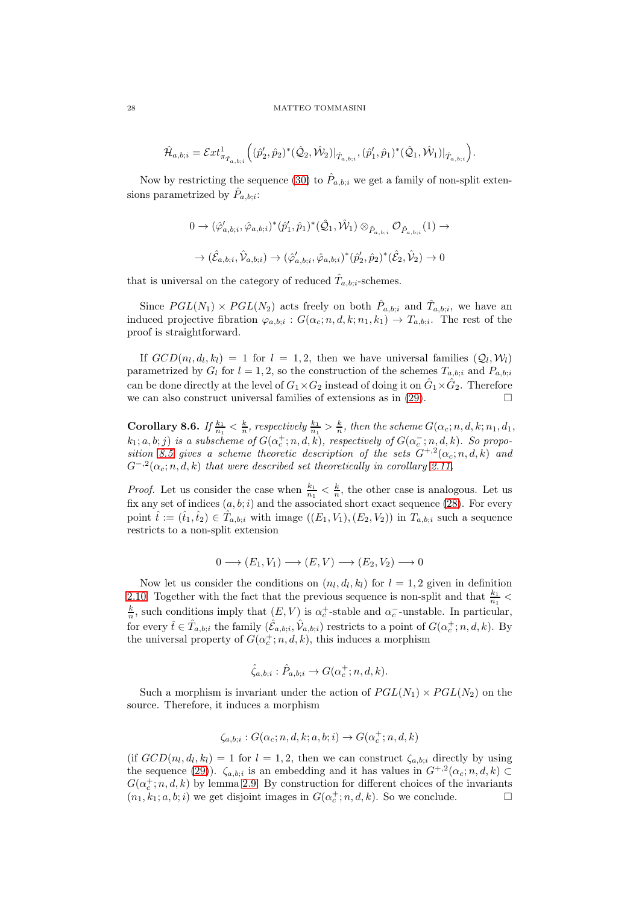$$
\hat{\mathcal{H}}_{a,b;i} = \mathcal{E}xt^1_{\pi_{\hat{T}_{a,b;i}}} \Big( (\hat{p}'_2, \hat{p}_2)^*(\hat{\mathcal{Q}}_2, \hat{\mathcal{W}}_2)|_{\hat{T}_{a,b;i}}, (\hat{p}'_1, \hat{p}_1)^*(\hat{\mathcal{Q}}_1, \hat{\mathcal{W}}_1)|_{\hat{T}_{a,b;i}} \Big).
$$

Now by restricting the sequence [\(30\)](#page-26-0) to  $\hat{P}_{a,b;i}$  we get a family of non-split extensions parametrized by  $\hat{P}_{a,b;i}$ :

$$
\begin{aligned} 0\to&(\hat{\varphi}'_{a,b;i},\hat{\varphi}_{a,b;i})^*(\hat{p}'_1,\hat{p}_1)^*(\hat{\mathcal{Q}}_1,\hat{\mathcal{W}}_1)\otimes_{\hat{P}_{a,b;i}}\mathcal{O}_{\hat{P}_{a,b;i}}(1)\to\\ &\to&(\hat{\mathcal{E}}_{a,b;i},\hat{\mathcal{V}}_{a,b;i})\to(\hat{\varphi}'_{a,b;i},\hat{\varphi}_{a,b;i})^*(\hat{p}'_2,\hat{p}_2)^*(\hat{\mathcal{E}}_2,\hat{\mathcal{V}}_2)\to 0 \end{aligned}
$$

that is universal on the category of reduced  $\hat{T}_{a,b;i}$ -schemes.

Since  $PGL(N_1) \times PGL(N_2)$  acts freely on both  $\hat{P}_{a,b;i}$  and  $\hat{T}_{a,b;i}$ , we have an induced projective fibration  $\varphi_{a,b,i}: G(\alpha_c; n, d, k; n_1, k_1) \to T_{a,b,i}$ . The rest of the proof is straightforward.

If  $GCD(n_l, d_l, k_l) = 1$  for  $l = 1, 2$ , then we have universal families  $(Q_l, W_l)$ parametrized by  $G_l$  for  $l = 1, 2$ , so the construction of the schemes  $T_{a,b:i}$  and  $P_{a,b:i}$ can be done directly at the level of  $G_1\times G_2$  instead of doing it on  $\hat G_1\times \hat G_2$ . Therefore we can also construct universal families of extensions as in [\(29\)](#page-25-1).

**Corollary 8.6.** If  $\frac{k_1}{n_1} < \frac{k}{n}$ , respectively  $\frac{k_1}{n_1} > \frac{k}{n}$ , then the scheme  $G(\alpha_c; n, d, k; n_1, d_1,$  $(k_1; a, b; j)$  is a subscheme of  $G(\alpha_c^+; n, d, k)$ , respectively of  $G(\alpha_c^-; n, d, k)$ . So propo-sition [8.5](#page-25-2) gives a scheme theoretic description of the sets  $G^{+,2}(\alpha_c; n, d, k)$  and  $G^{-,2}(\alpha_c; n, d, k)$  that were described set theoretically in corollary [2.11.](#page-7-1)

*Proof.* Let us consider the case when  $\frac{k_1}{n_1} < \frac{k}{n}$ , the other case is analogous. Let us fix any set of indices  $(a, b; i)$  and the associated short exact sequence [\(28\)](#page-25-3). For every point  $\hat{t} := (\hat{t}_1, \hat{t}_2) \in \hat{T}_{a,b;i}$  with image  $((E_1, V_1), (E_2, V_2))$  in  $T_{a,b;i}$  such a sequence restricts to a non-split extension

$$
0 \longrightarrow (E_1, V_1) \longrightarrow (E, V) \longrightarrow (E_2, V_2) \longrightarrow 0
$$

Now let us consider the conditions on  $(n_l, d_l, k_l)$  for  $l = 1, 2$  given in definition [2.10.](#page-6-3) Together with the fact that the previous sequence is non-split and that  $\frac{k_1}{n_1}$  <  $\frac{k}{n}$ , such conditions imply that  $(E, V)$  is  $\alpha_c^+$ -stable and  $\alpha_c^-$ -unstable. In particular, for every  $\hat{t} \in \hat{T}_{a,b;i}$  the family  $(\hat{\mathcal{E}}_{a,b;i}, \hat{\mathcal{V}}_{a,b;i})$  restricts to a point of  $G(\alpha_c^+; n, d, k)$ . By the universal property of  $G(\alpha_c^+; n, d, k)$ , this induces a morphism

$$
\hat{\zeta}_{a,b;i} : \hat{P}_{a,b;i} \to G(\alpha_c^+; n, d, k).
$$

Such a morphism is invariant under the action of  $PGL(N_1) \times PGL(N_2)$  on the source. Therefore, it induces a morphism

$$
\zeta_{a,b;i}:G(\alpha_c;n,d,k;a,b;i)\rightarrow G(\alpha_c^+;n,d,k)
$$

(if  $GCD(n_l, d_l, k_l) = 1$  for  $l = 1, 2$ , then we can construct  $\zeta_{a,b,i}$  directly by using the sequence [\(29\)](#page-25-1)).  $\zeta_{a,b;i}$  is an embedding and it has values in  $G^{+,2}(\alpha_c; n, d, k) \subset$  $G(\alpha_c^+;n,d,k)$  by lemma [2.9.](#page-6-4) By construction for different choices of the invariants  $(n_1, k_1; a, b; i)$  we get disjoint images in  $G(\alpha_c^+; n, d, k)$ . So we conclude.